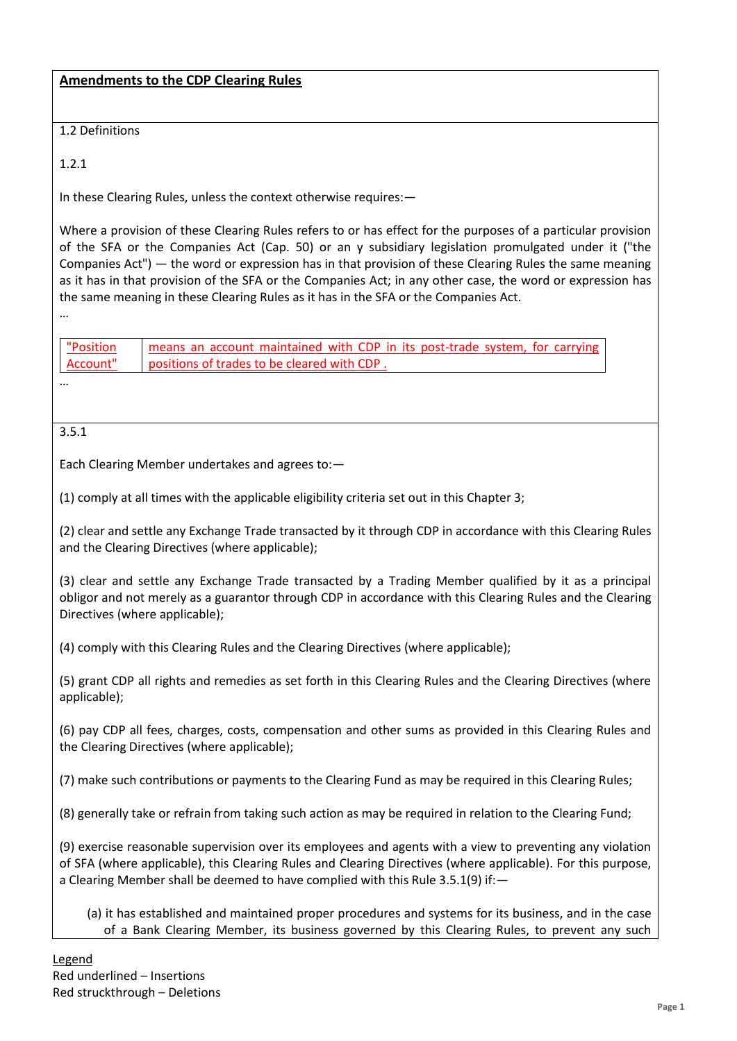1.2 Definitions

1.2.1

In these Clearing Rules, unless the context otherwise requires:—

Where a provision of these Clearing Rules refers to or has effect for the purposes of a particular provision of the SFA or the Companies Act (Cap. 50) or an y subsidiary legislation promulgated under it ("the Companies Act") — the word or expression has in that provision of these Clearing Rules the same meaning as it has in that provision of the SFA or the Companies Act; in any other case, the word or expression has the same meaning in these Clearing Rules as it has in the SFA or the Companies Act.

…

…

| "Position | means an account maintained with CDP in its post-trade system, for carrying |
|-----------|-----------------------------------------------------------------------------|
| "Account  | positions of trades to be cleared with CDP                                  |

3.5.1

Each Clearing Member undertakes and agrees to:—

(1) comply at all times with the applicable eligibility criteria set out in this Chapter 3;

(2) clear and settle any Exchange Trade transacted by it through CDP in accordance with this Clearing Rules and the Clearing Directives (where applicable);

(3) clear and settle any Exchange Trade transacted by a Trading Member qualified by it as a principal obligor and not merely as a guarantor through CDP in accordance with this Clearing Rules and the Clearing Directives (where applicable);

(4) comply with this Clearing Rules and the Clearing Directives (where applicable);

(5) grant CDP all rights and remedies as set forth in this Clearing Rules and the Clearing Directives (where applicable);

(6) pay CDP all fees, charges, costs, compensation and other sums as provided in this Clearing Rules and the Clearing Directives (where applicable);

(7) make such contributions or payments to the Clearing Fund as may be required in this Clearing Rules;

(8) generally take or refrain from taking such action as may be required in relation to the Clearing Fund;

(9) exercise reasonable supervision over its employees and agents with a view to preventing any violation of SFA (where applicable), this Clearing Rules and Clearing Directives (where applicable). For this purpose, a Clearing Member shall be deemed to have complied with this Rule 3.5.1(9) if:—

(a) it has established and maintained proper procedures and systems for its business, and in the case of a Bank Clearing Member, its business governed by this Clearing Rules, to prevent any such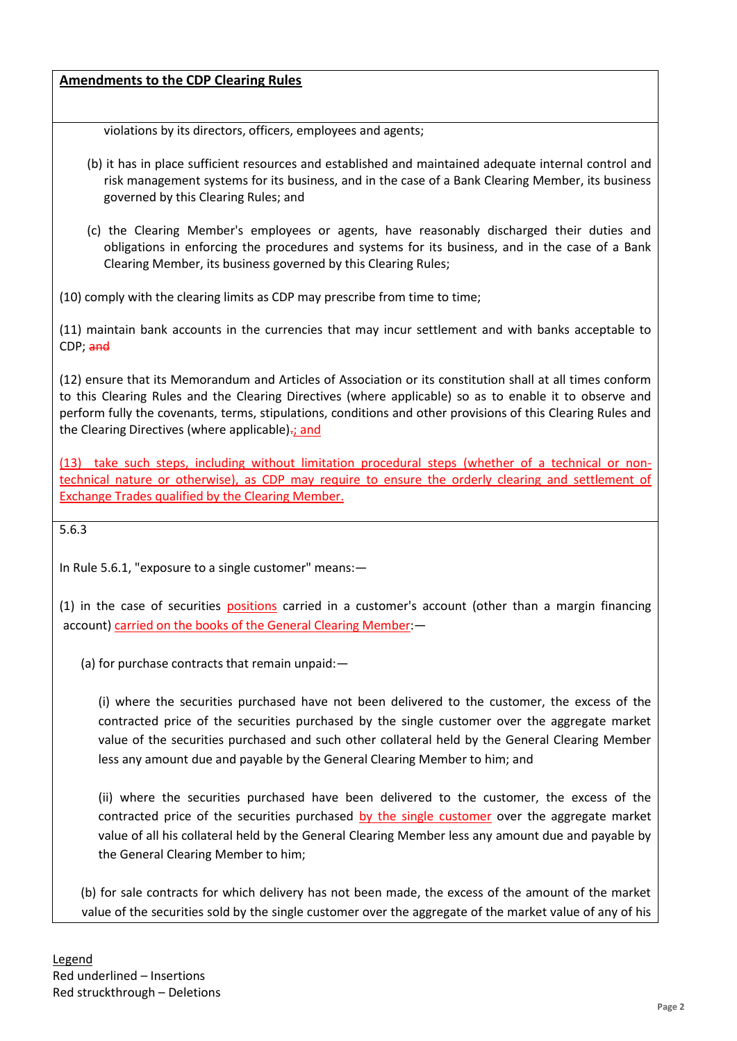violations by its directors, officers, employees and agents;

- (b) it has in place sufficient resources and established and maintained adequate internal control and risk management systems for its business, and in the case of a Bank Clearing Member, its business governed by this Clearing Rules; and
- (c) the Clearing Member's employees or agents, have reasonably discharged their duties and obligations in enforcing the procedures and systems for its business, and in the case of a Bank Clearing Member, its business governed by this Clearing Rules;

(10) comply with the clearing limits as CDP may prescribe from time to time;

(11) maintain bank accounts in the currencies that may incur settlement and with banks acceptable to CDP; and

(12) ensure that its Memorandum and Articles of Association or its constitution shall at all times conform to this Clearing Rules and the Clearing Directives (where applicable) so as to enable it to observe and perform fully the covenants, terms, stipulations, conditions and other provisions of this Clearing Rules and the Clearing Directives (where applicable): and

(13) take such steps, including without limitation procedural steps (whether of a technical or nontechnical nature or otherwise), as CDP may require to ensure the orderly clearing and settlement of Exchange Trades qualified by the Clearing Member.

5.6.3

In Rule 5.6.1, "exposure to a single customer" means:—

(1) in the case of securities positions carried in a customer's account (other than a margin financing account) carried on the books of the General Clearing Member:—

(a) for purchase contracts that remain unpaid:—

(i) where the securities purchased have not been delivered to the customer, the excess of the contracted price of the securities purchased by the single customer over the aggregate market value of the securities purchased and such other collateral held by the General Clearing Member less any amount due and payable by the General Clearing Member to him; and

(ii) where the securities purchased have been delivered to the customer, the excess of the contracted price of the securities purchased by the single customer over the aggregate market value of all his collateral held by the General Clearing Member less any amount due and payable by the General Clearing Member to him;

(b) for sale contracts for which delivery has not been made, the excess of the amount of the market value of the securities sold by the single customer over the aggregate of the market value of any of his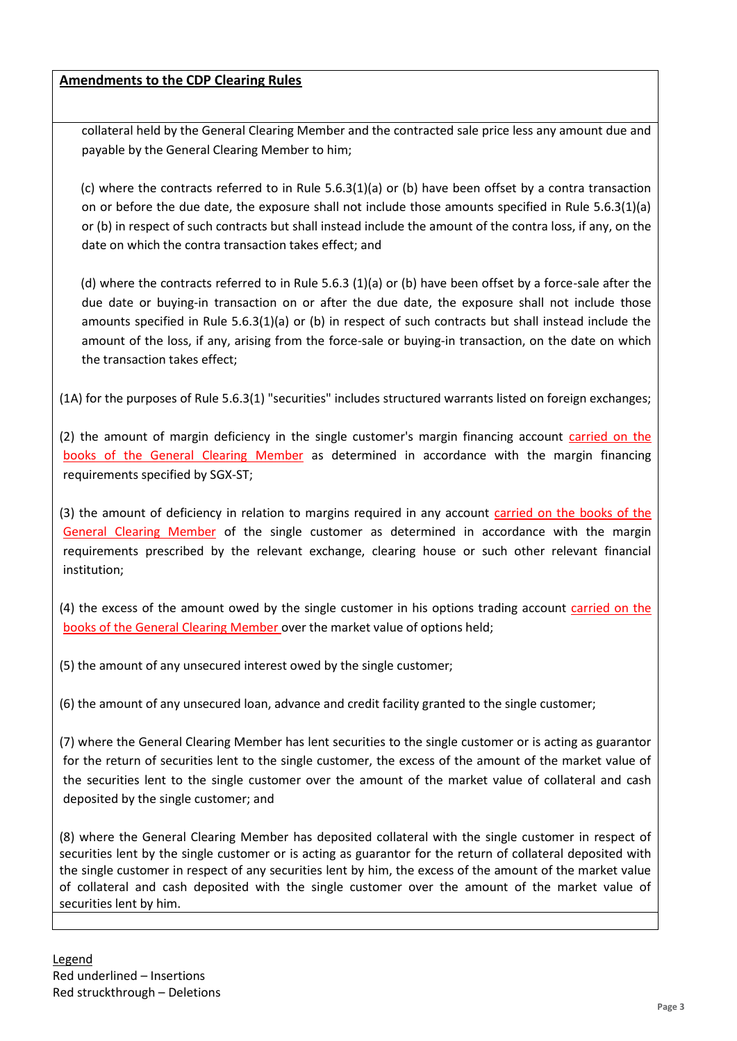collateral held by the General Clearing Member and the contracted sale price less any amount due and payable by the General Clearing Member to him;

(c) where the contracts referred to in Rule 5.6.3(1)(a) or (b) have been offset by a contra transaction on or before the due date, the exposure shall not include those amounts specified in Rule 5.6.3(1)(a) or (b) in respect of such contracts but shall instead include the amount of the contra loss, if any, on the date on which the contra transaction takes effect; and

(d) where the contracts referred to in Rule 5.6.3 (1)(a) or (b) have been offset by a force-sale after the due date or buying-in transaction on or after the due date, the exposure shall not include those amounts specified in Rule 5.6.3(1)(a) or (b) in respect of such contracts but shall instead include the amount of the loss, if any, arising from the force-sale or buying-in transaction, on the date on which the transaction takes effect;

(1A) for the purposes of Rule 5.6.3(1) "securities" includes structured warrants listed on foreign exchanges;

(2) the amount of margin deficiency in the single customer's margin financing account carried on the books of the General Clearing Member as determined in accordance with the margin financing requirements specified by SGX-ST;

(3) the amount of deficiency in relation to margins required in any account carried on the books of the General Clearing Member of the single customer as determined in accordance with the margin requirements prescribed by the relevant exchange, clearing house or such other relevant financial institution;

(4) the excess of the amount owed by the single customer in his options trading account carried on the books of the General Clearing Member over the market value of options held;

(5) the amount of any unsecured interest owed by the single customer;

(6) the amount of any unsecured loan, advance and credit facility granted to the single customer;

(7) where the General Clearing Member has lent securities to the single customer or is acting as guarantor for the return of securities lent to the single customer, the excess of the amount of the market value of the securities lent to the single customer over the amount of the market value of collateral and cash deposited by the single customer; and

(8) where the General Clearing Member has deposited collateral with the single customer in respect of securities lent by the single customer or is acting as guarantor for the return of collateral deposited with the single customer in respect of any securities lent by him, the excess of the amount of the market value of collateral and cash deposited with the single customer over the amount of the market value of securities lent by him.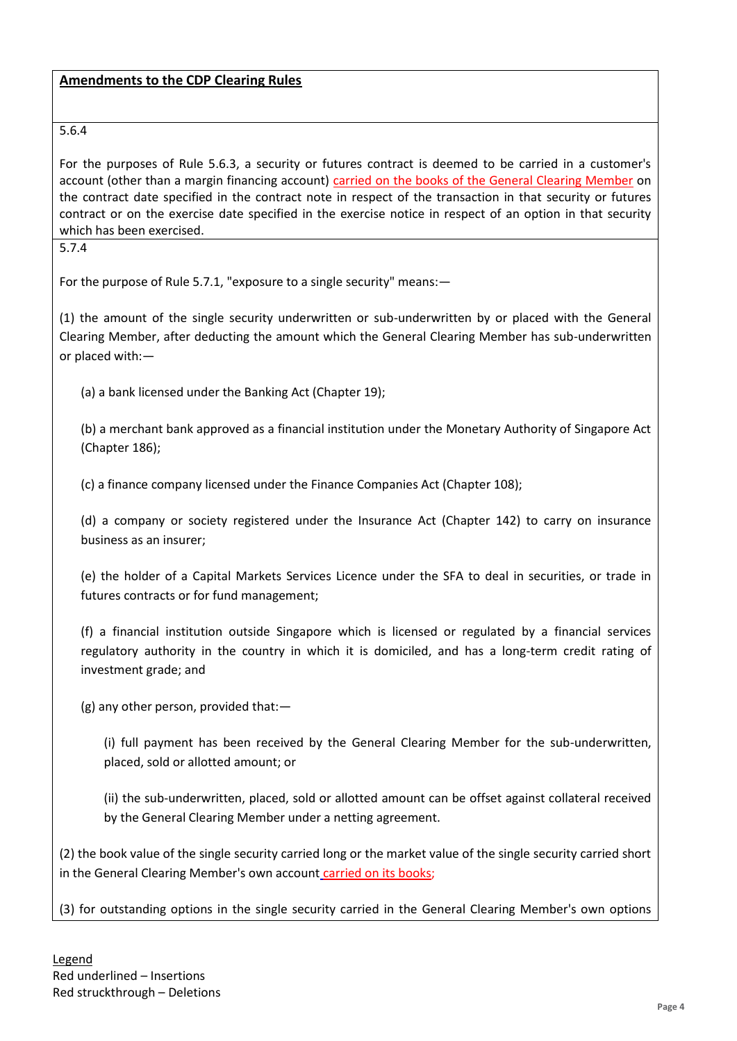## 5.6.4

For the purposes of Rule 5.6.3, a security or futures contract is deemed to be carried in a customer's account (other than a margin financing account) carried on the books of the General Clearing Member on the contract date specified in the contract note in respect of the transaction in that security or futures contract or on the exercise date specified in the exercise notice in respect of an option in that security which has been exercised.

5.7.4

For the purpose of Rule 5.7.1, "exposure to a single security" means:—

(1) the amount of the single security underwritten or sub-underwritten by or placed with the General Clearing Member, after deducting the amount which the General Clearing Member has sub-underwritten or placed with:—

(a) a bank licensed under the Banking Act (Chapter 19);

(b) a merchant bank approved as a financial institution under the Monetary Authority of Singapore Act (Chapter 186);

(c) a finance company licensed under the Finance Companies Act (Chapter 108);

(d) a company or society registered under the Insurance Act (Chapter 142) to carry on insurance business as an insurer;

(e) the holder of a Capital Markets Services Licence under the SFA to deal in securities, or trade in futures contracts or for fund management;

(f) a financial institution outside Singapore which is licensed or regulated by a financial services regulatory authority in the country in which it is domiciled, and has a long-term credit rating of investment grade; and

(g) any other person, provided that:—

(i) full payment has been received by the General Clearing Member for the sub-underwritten, placed, sold or allotted amount; or

(ii) the sub-underwritten, placed, sold or allotted amount can be offset against collateral received by the General Clearing Member under a netting agreement.

(2) the book value of the single security carried long or the market value of the single security carried short in the General Clearing Member's own account carried on its books;

(3) for outstanding options in the single security carried in the General Clearing Member's own options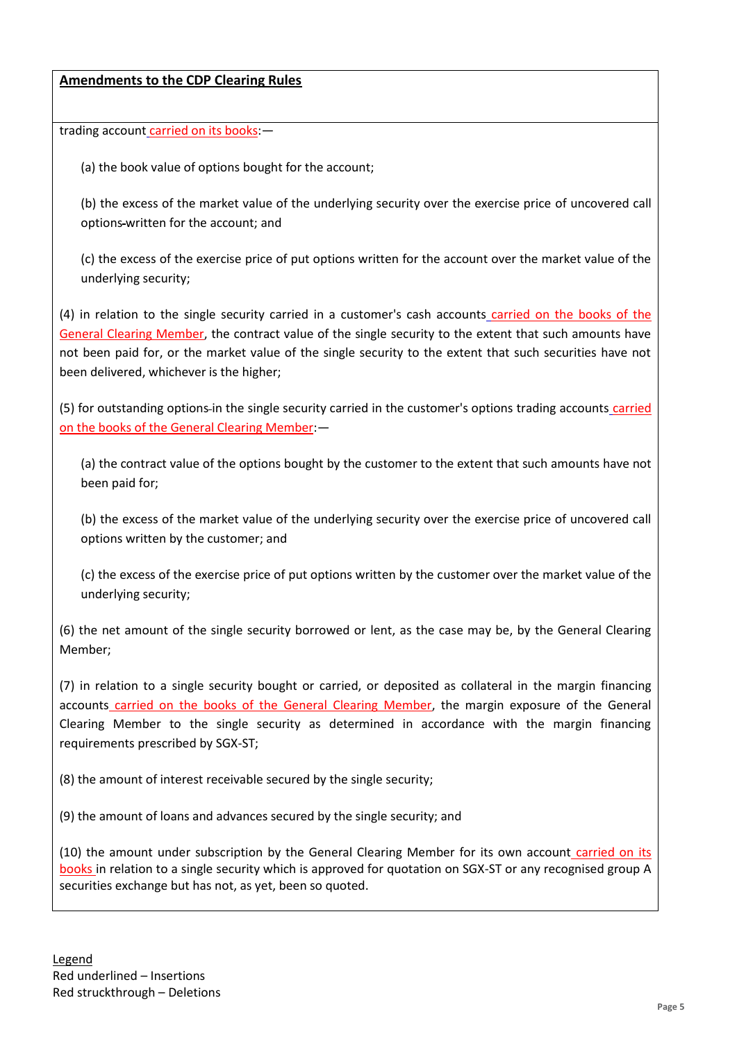trading account carried on its books:—

(a) the book value of options bought for the account;

(b) the excess of the market value of the underlying security over the exercise price of uncovered call options-written for the account; and

(c) the excess of the exercise price of put options written for the account over the market value of the underlying security;

(4) in relation to the single security carried in a customer's cash accounts carried on the books of the General Clearing Member, the contract value of the single security to the extent that such amounts have not been paid for, or the market value of the single security to the extent that such securities have not been delivered, whichever is the higher;

(5) for outstanding options-in the single security carried in the customer's options trading accounts carried on the books of the General Clearing Member:—

(a) the contract value of the options bought by the customer to the extent that such amounts have not been paid for;

(b) the excess of the market value of the underlying security over the exercise price of uncovered call options written by the customer; and

(c) the excess of the exercise price of put options written by the customer over the market value of the underlying security;

(6) the net amount of the single security borrowed or lent, as the case may be, by the General Clearing Member;

(7) in relation to a single security bought or carried, or deposited as collateral in the margin financing accounts carried on the books of the General Clearing Member, the margin exposure of the General Clearing Member to the single security as determined in accordance with the margin financing requirements prescribed by SGX-ST;

(8) the amount of interest receivable secured by the single security;

(9) the amount of loans and advances secured by the single security; and

(10) the amount under subscription by the General Clearing Member for its own account carried on its books in relation to a single security which is approved for quotation on SGX-ST or any recognised group A securities exchange but has not, as yet, been so quoted.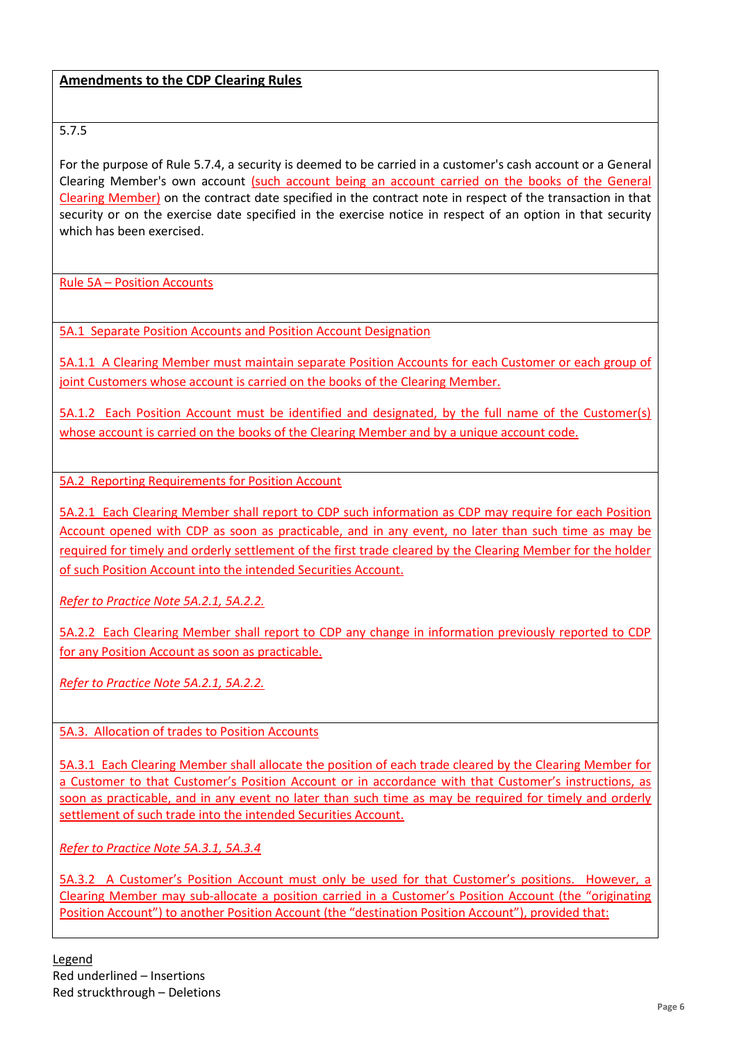# 5.7.5

For the purpose of Rule 5.7.4, a security is deemed to be carried in a customer's cash account or a General Clearing Member's own account (such account being an account carried on the books of the General Clearing Member) on the contract date specified in the contract note in respect of the transaction in that security or on the exercise date specified in the exercise notice in respect of an option in that security which has been exercised.

Rule 5A – Position Accounts

5A.1 Separate Position Accounts and Position Account Designation

5A.1.1 A Clearing Member must maintain separate Position Accounts for each Customer or each group of joint Customers whose account is carried on the books of the Clearing Member.

5A.1.2 Each Position Account must be identified and designated, by the full name of the Customer(s) whose account is carried on the books of the Clearing Member and by a unique account code.

5A.2 Reporting Requirements for Position Account

5A.2.1 Each Clearing Member shall report to CDP such information as CDP may require for each Position Account opened with CDP as soon as practicable, and in any event, no later than such time as may be required for timely and orderly settlement of the first trade cleared by the Clearing Member for the holder of such Position Account into the intended Securities Account.

*Refer to Practice Note 5A.2.1, 5A.2.2.* 

5A.2.2 Each Clearing Member shall report to CDP any change in information previously reported to CDP for any Position Account as soon as practicable.

*Refer to Practice Note 5A.2.1, 5A.2.2.* 

5A.3. Allocation of trades to Position Accounts

5A.3.1 Each Clearing Member shall allocate the position of each trade cleared by the Clearing Member for a Customer to that Customer's Position Account or in accordance with that Customer's instructions, as soon as practicable, and in any event no later than such time as may be required for timely and orderly settlement of such trade into the intended Securities Account.

*Refer to Practice Note 5A.3.1, 5A.3.4*

5A.3.2 A Customer's Position Account must only be used for that Customer's positions. However, a Clearing Member may sub-allocate a position carried in a Customer's Position Account (the "originating Position Account") to another Position Account (the "destination Position Account"), provided that: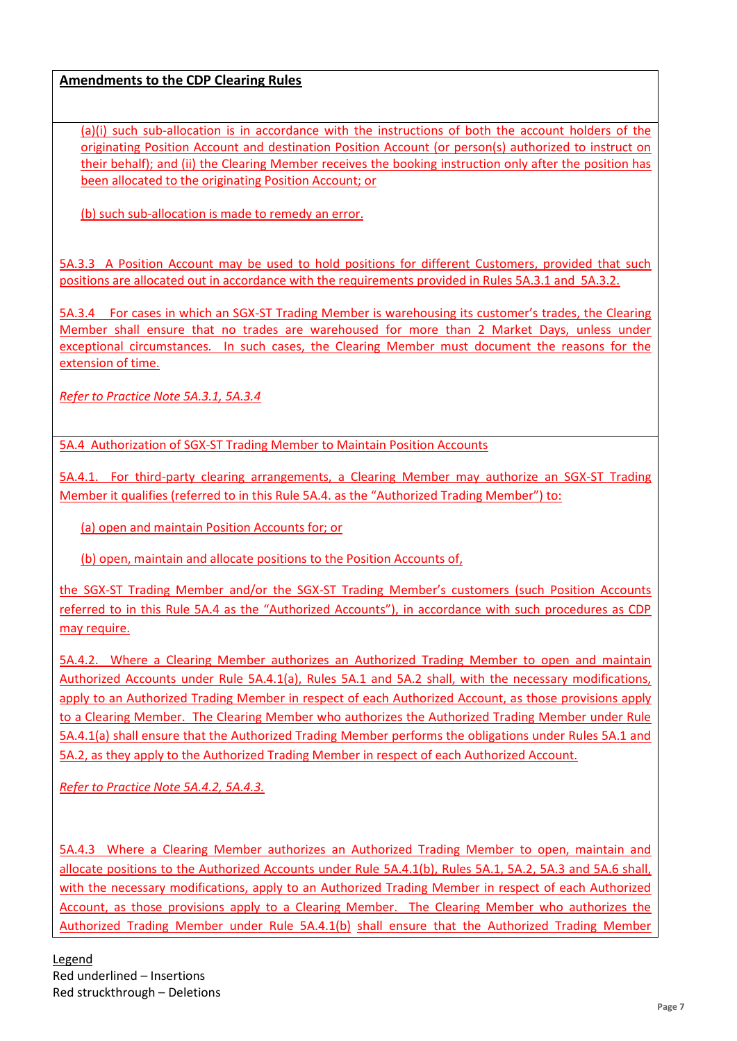(a)(i) such sub-allocation is in accordance with the instructions of both the account holders of the originating Position Account and destination Position Account (or person(s) authorized to instruct on their behalf); and (ii) the Clearing Member receives the booking instruction only after the position has been allocated to the originating Position Account; or

(b) such sub-allocation is made to remedy an error.

5A.3.3 A Position Account may be used to hold positions for different Customers, provided that such positions are allocated out in accordance with the requirements provided in Rules 5A.3.1 and 5A.3.2.

5A.3.4 For cases in which an SGX-ST Trading Member is warehousing its customer's trades, the Clearing Member shall ensure that no trades are warehoused for more than 2 Market Days, unless under exceptional circumstances. In such cases, the Clearing Member must document the reasons for the extension of time.

*Refer to Practice Note 5A.3.1, 5A.3.4*

5A.4 Authorization of SGX-ST Trading Member to Maintain Position Accounts

5A.4.1. For third-party clearing arrangements, a Clearing Member may authorize an SGX-ST Trading Member it qualifies (referred to in this Rule 5A.4. as the "Authorized Trading Member") to:

(a) open and maintain Position Accounts for; or

(b) open, maintain and allocate positions to the Position Accounts of,

the SGX-ST Trading Member and/or the SGX-ST Trading Member's customers (such Position Accounts referred to in this Rule 5A.4 as the "Authorized Accounts"), in accordance with such procedures as CDP may require.

5A.4.2. Where a Clearing Member authorizes an Authorized Trading Member to open and maintain Authorized Accounts under Rule 5A.4.1(a), Rules 5A.1 and 5A.2 shall, with the necessary modifications, apply to an Authorized Trading Member in respect of each Authorized Account, as those provisions apply to a Clearing Member. The Clearing Member who authorizes the Authorized Trading Member under Rule 5A.4.1(a) shall ensure that the Authorized Trading Member performs the obligations under Rules 5A.1 and 5A.2, as they apply to the Authorized Trading Member in respect of each Authorized Account.

*Refer to Practice Note 5A.4.2, 5A.4.3.*

5A.4.3 Where a Clearing Member authorizes an Authorized Trading Member to open, maintain and allocate positions to the Authorized Accounts under Rule 5A.4.1(b), Rules 5A.1, 5A.2, 5A.3 and 5A.6 shall, with the necessary modifications, apply to an Authorized Trading Member in respect of each Authorized Account, as those provisions apply to a Clearing Member. The Clearing Member who authorizes the Authorized Trading Member under Rule 5A.4.1(b) shall ensure that the Authorized Trading Member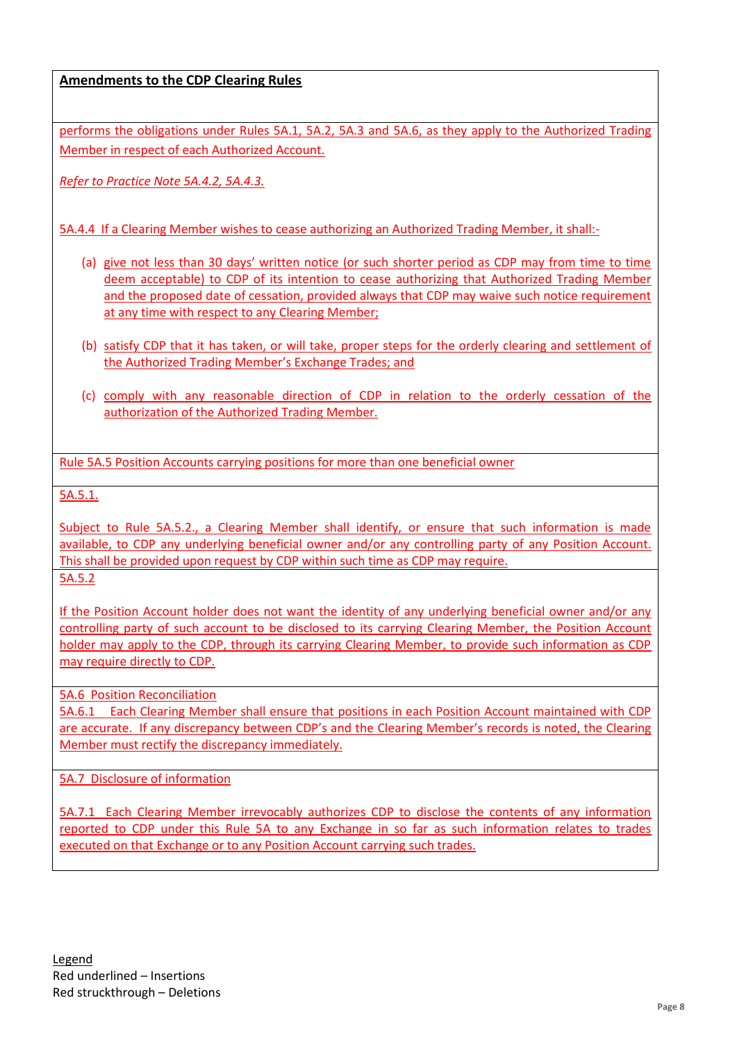performs the obligations under Rules 5A.1, 5A.2, 5A.3 and 5A.6, as they apply to the Authorized Trading Member in respect of each Authorized Account.

*Refer to Practice Note 5A.4.2, 5A.4.3.*

5A.4.4 If a Clearing Member wishes to cease authorizing an Authorized Trading Member, it shall:-

- (a) give not less than 30 days' written notice (or such shorter period as CDP may from time to time deem acceptable) to CDP of its intention to cease authorizing that Authorized Trading Member and the proposed date of cessation, provided always that CDP may waive such notice requirement at any time with respect to any Clearing Member;
- (b) satisfy CDP that it has taken, or will take, proper steps for the orderly clearing and settlement of the Authorized Trading Member's Exchange Trades; and
- (c) comply with any reasonable direction of CDP in relation to the orderly cessation of the authorization of the Authorized Trading Member.

Rule 5A.5 Position Accounts carrying positions for more than one beneficial owner

5A.5.1.

Subject to Rule 5A.5.2., a Clearing Member shall identify, or ensure that such information is made available, to CDP any underlying beneficial owner and/or any controlling party of any Position Account. This shall be provided upon request by CDP within such time as CDP may require. 5A.5.2

If the Position Account holder does not want the identity of any underlying beneficial owner and/or any controlling party of such account to be disclosed to its carrying Clearing Member, the Position Account holder may apply to the CDP, through its carrying Clearing Member, to provide such information as CDP may require directly to CDP.

5A.6 Position Reconciliation

5A.6.1 Each Clearing Member shall ensure that positions in each Position Account maintained with CDP are accurate. If any discrepancy between CDP's and the Clearing Member's records is noted, the Clearing Member must rectify the discrepancy immediately.

5A.7 Disclosure of information

5A.7.1 Each Clearing Member irrevocably authorizes CDP to disclose the contents of any information reported to CDP under this Rule 5A to any Exchange in so far as such information relates to trades executed on that Exchange or to any Position Account carrying such trades.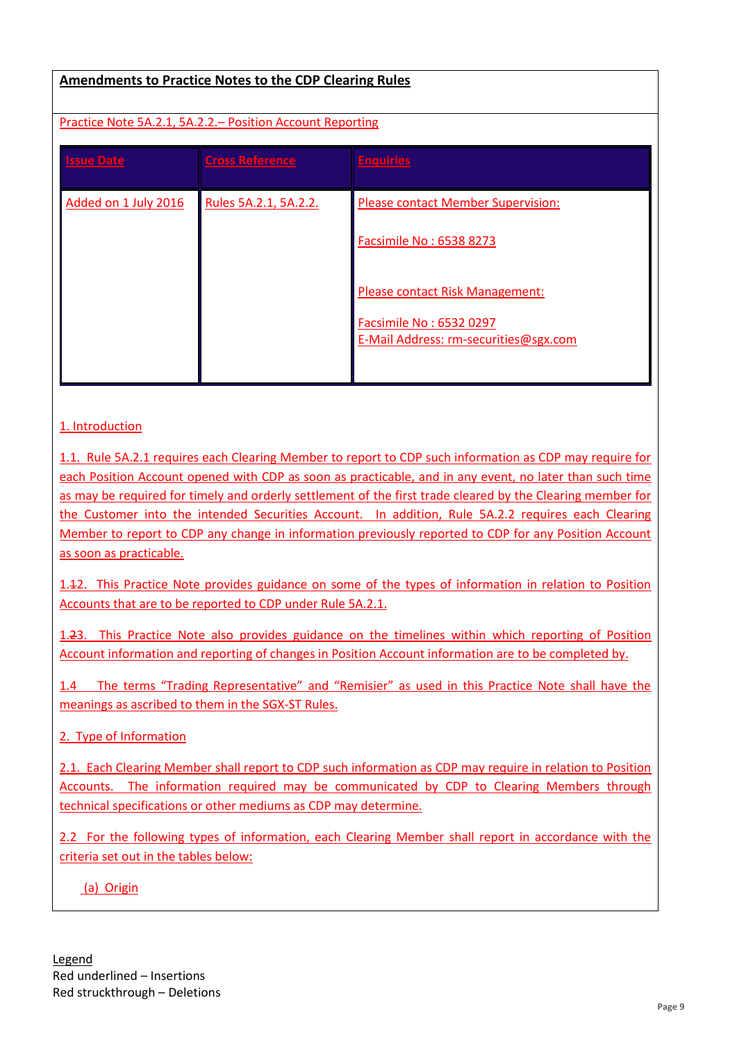### Practice Note 5A.2.1, 5A.2.2.– Position Account Reporting

| <b>Issue Date</b>    | <b>Cross Reference</b> | <b>Enquiries</b>                                                                                    |
|----------------------|------------------------|-----------------------------------------------------------------------------------------------------|
| Added on 1 July 2016 | Rules 5A.2.1, 5A.2.2.  | Please contact Member Supervision:<br>Facsimile No: 6538 8273                                       |
|                      |                        | Please contact Risk Management:<br>Facsimile No: 6532 0297<br>E-Mail Address: rm-securities@sgx.com |

#### 1. Introduction

1.1. Rule 5A.2.1 requires each Clearing Member to report to CDP such information as CDP may require for each Position Account opened with CDP as soon as practicable, and in any event, no later than such time as may be required for timely and orderly settlement of the first trade cleared by the Clearing member for the Customer into the intended Securities Account. In addition, Rule 5A.2.2 requires each Clearing Member to report to CDP any change in information previously reported to CDP for any Position Account as soon as practicable.

1.12. This Practice Note provides guidance on some of the types of information in relation to Position Accounts that are to be reported to CDP under Rule 5A.2.1.

1.23. This Practice Note also provides guidance on the timelines within which reporting of Position Account information and reporting of changes in Position Account information are to be completed by.

1.4 The terms "Trading Representative" and "Remisier" as used in this Practice Note shall have the meanings as ascribed to them in the SGX-ST Rules.

2. Type of Information

2.1. Each Clearing Member shall report to CDP such information as CDP may require in relation to Position Accounts. The information required may be communicated by CDP to Clearing Members through technical specifications or other mediums as CDP may determine.

2.2 For the following types of information, each Clearing Member shall report in accordance with the criteria set out in the tables below:

(a) Origin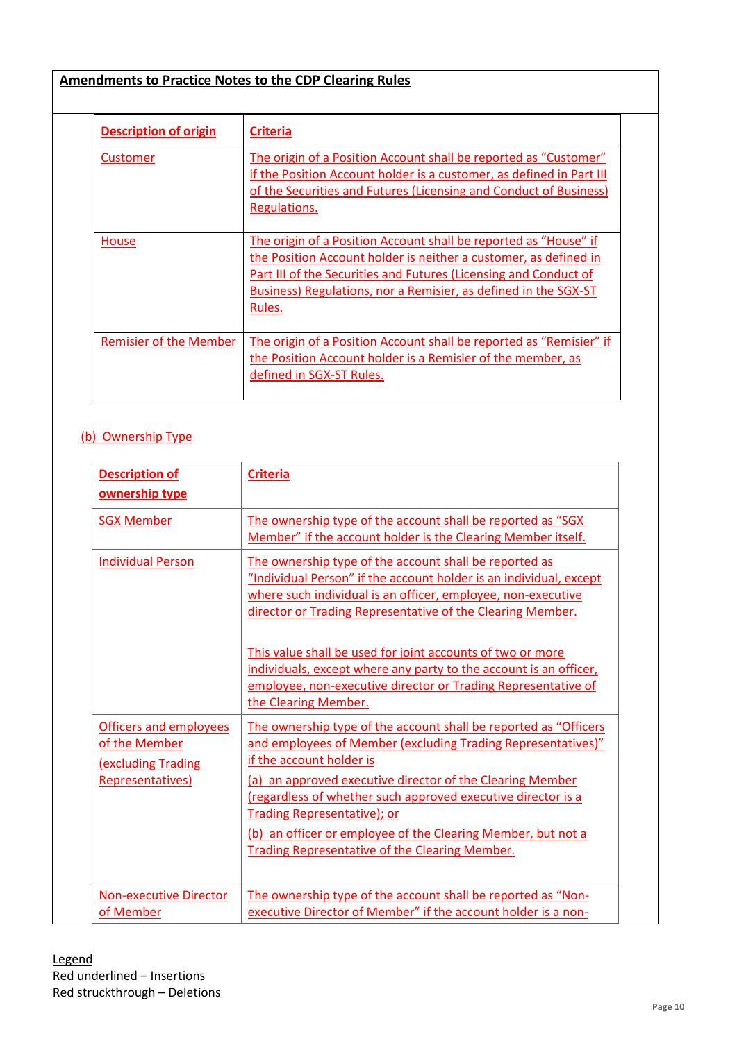| <b>Description of origin</b> | <b>Criteria</b>                                                                                                                                                                                                                                                                       |
|------------------------------|---------------------------------------------------------------------------------------------------------------------------------------------------------------------------------------------------------------------------------------------------------------------------------------|
| Customer                     | The origin of a Position Account shall be reported as "Customer"<br>if the Position Account holder is a customer, as defined in Part III<br>of the Securities and Futures (Licensing and Conduct of Business)<br>Regulations.                                                         |
| House                        | The origin of a Position Account shall be reported as "House" if<br>the Position Account holder is neither a customer, as defined in<br>Part III of the Securities and Futures (Licensing and Conduct of<br>Business) Regulations, nor a Remisier, as defined in the SGX-ST<br>Rules. |
| Remisier of the Member       | The origin of a Position Account shall be reported as "Remisier" if<br>the Position Account holder is a Remisier of the member, as<br>defined in SGX-ST Rules.                                                                                                                        |

# (b) Ownership Type

| <b>Description of</b><br>ownership type                                                  | <b>Criteria</b>                                                                                                                                                                                                                                                                                                                                                                                                                                                                        |
|------------------------------------------------------------------------------------------|----------------------------------------------------------------------------------------------------------------------------------------------------------------------------------------------------------------------------------------------------------------------------------------------------------------------------------------------------------------------------------------------------------------------------------------------------------------------------------------|
| <b>SGX Member</b>                                                                        | The ownership type of the account shall be reported as "SGX<br>Member" if the account holder is the Clearing Member itself.                                                                                                                                                                                                                                                                                                                                                            |
| <b>Individual Person</b>                                                                 | The ownership type of the account shall be reported as<br>"Individual Person" if the account holder is an individual, except<br>where such individual is an officer, employee, non-executive<br>director or Trading Representative of the Clearing Member.<br>This value shall be used for joint accounts of two or more<br>individuals, except where any party to the account is an officer,<br>employee, non-executive director or Trading Representative of<br>the Clearing Member. |
| <b>Officers and employees</b><br>of the Member<br>(excluding Trading<br>Representatives) | The ownership type of the account shall be reported as "Officers"<br>and employees of Member (excluding Trading Representatives)"<br>if the account holder is<br>(a) an approved executive director of the Clearing Member<br>(regardless of whether such approved executive director is a<br><b>Trading Representative); or</b><br>(b) an officer or employee of the Clearing Member, but not a<br>Trading Representative of the Clearing Member.                                     |
| <b>Non-executive Director</b><br>of Member                                               | The ownership type of the account shall be reported as "Non-<br>executive Director of Member" if the account holder is a non-                                                                                                                                                                                                                                                                                                                                                          |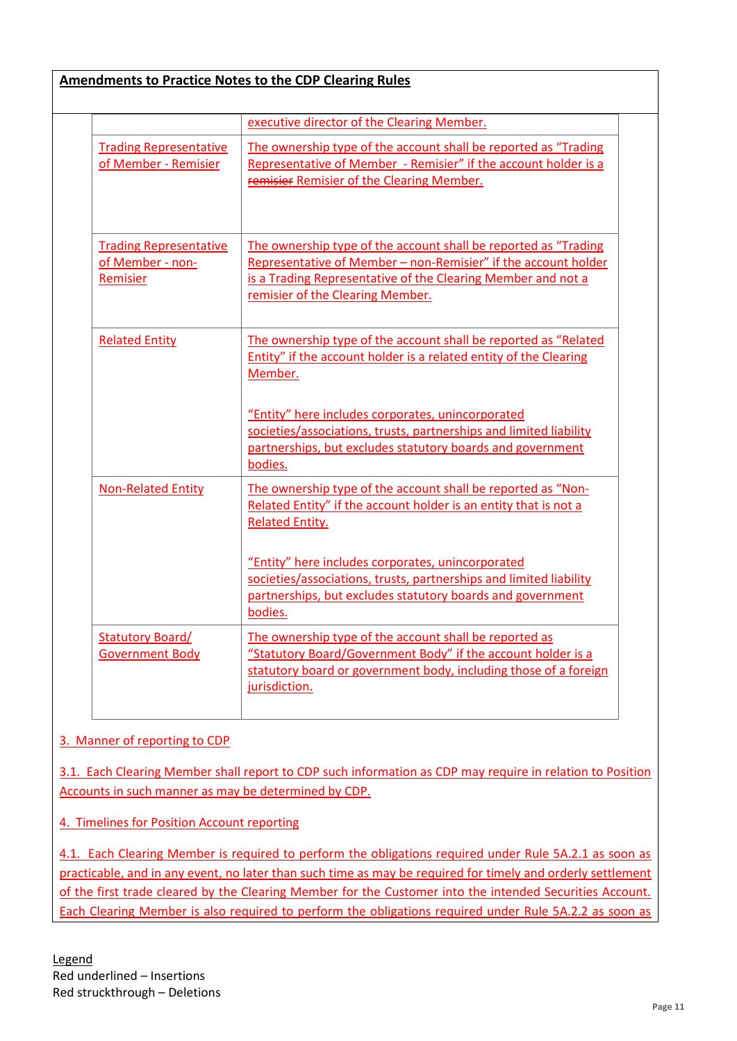|                                                               | executive director of the Clearing Member.                                                                                                                                                                                             |
|---------------------------------------------------------------|----------------------------------------------------------------------------------------------------------------------------------------------------------------------------------------------------------------------------------------|
| <b>Trading Representative</b><br>of Member - Remisier         | The ownership type of the account shall be reported as "Trading"<br>Representative of Member - Remisier" if the account holder is a<br>remisier Remisier of the Clearing Member.                                                       |
| <b>Trading Representative</b><br>of Member - non-<br>Remisier | The ownership type of the account shall be reported as "Trading"<br>Representative of Member - non-Remisier" if the account holder<br>is a Trading Representative of the Clearing Member and not a<br>remisier of the Clearing Member. |
| <b>Related Entity</b>                                         | The ownership type of the account shall be reported as "Related<br>Entity" if the account holder is a related entity of the Clearing<br>Member.<br>"Entity" here includes corporates, unincorporated                                   |
|                                                               | societies/associations, trusts, partnerships and limited liability<br>partnerships, but excludes statutory boards and government<br>bodies.                                                                                            |
| <b>Non-Related Entity</b>                                     | The ownership type of the account shall be reported as "Non-<br>Related Entity" if the account holder is an entity that is not a<br><b>Related Entity.</b>                                                                             |
|                                                               | "Entity" here includes corporates, unincorporated<br>societies/associations, trusts, partnerships and limited liability<br>partnerships, but excludes statutory boards and government<br>bodies.                                       |
| <b>Statutory Board/</b><br><b>Government Body</b>             | The ownership type of the account shall be reported as<br>"Statutory Board/Government Body" if the account holder is a<br>statutory board or government body, including those of a foreign<br>jurisdiction.                            |

# 3. Manner of reporting to CDP

3.1. Each Clearing Member shall report to CDP such information as CDP may require in relation to Position Accounts in such manner as may be determined by CDP.

4. Timelines for Position Account reporting

4.1. Each Clearing Member is required to perform the obligations required under Rule 5A.2.1 as soon as practicable, and in any event, no later than such time as may be required for timely and orderly settlement of the first trade cleared by the Clearing Member for the Customer into the intended Securities Account. Each Clearing Member is also required to perform the obligations required under Rule 5A.2.2 as soon as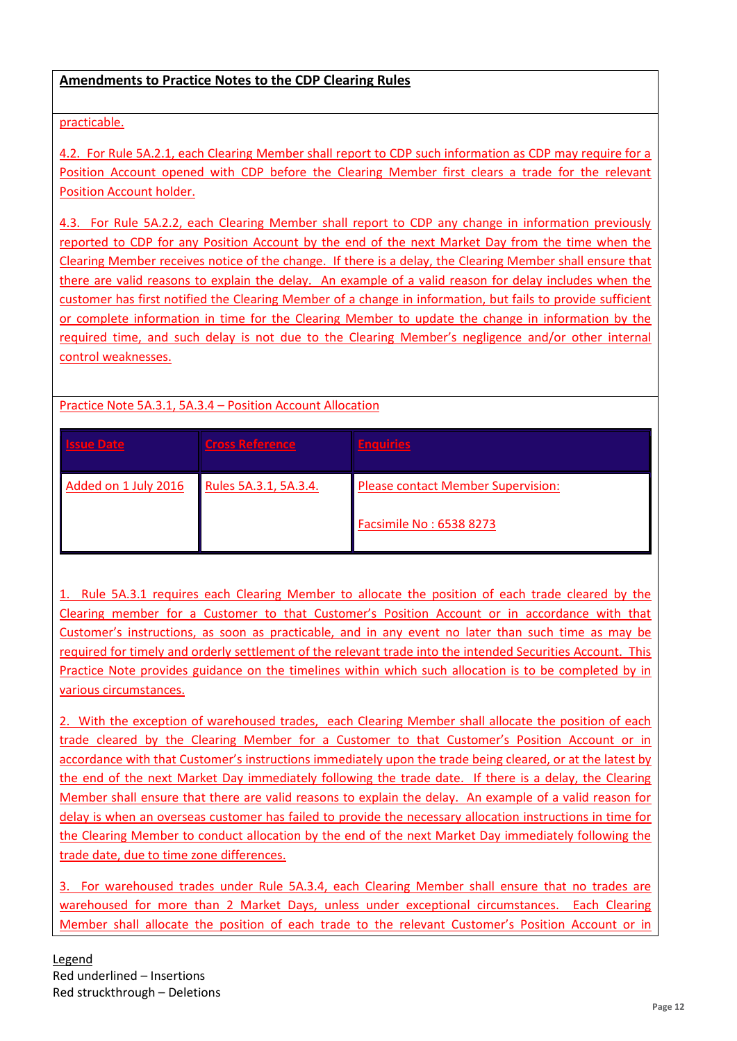# practicable.

4.2. For Rule 5A.2.1, each Clearing Member shall report to CDP such information as CDP may require for a Position Account opened with CDP before the Clearing Member first clears a trade for the relevant Position Account holder.

4.3. For Rule 5A.2.2, each Clearing Member shall report to CDP any change in information previously reported to CDP for any Position Account by the end of the next Market Day from the time when the Clearing Member receives notice of the change. If there is a delay, the Clearing Member shall ensure that there are valid reasons to explain the delay. An example of a valid reason for delay includes when the customer has first notified the Clearing Member of a change in information, but fails to provide sufficient or complete information in time for the Clearing Member to update the change in information by the required time, and such delay is not due to the Clearing Member's negligence and/or other internal control weaknesses.

# Practice Note 5A.3.1, 5A.3.4 – Position Account Allocation

| ssue Date            | Cross Reference       | <b>Enquiries</b>                          |
|----------------------|-----------------------|-------------------------------------------|
| Added on 1 July 2016 | Rules 5A.3.1, 5A.3.4. | <b>Please contact Member Supervision:</b> |
|                      |                       | Facsimile No: 6538 8273                   |

1. Rule 5A.3.1 requires each Clearing Member to allocate the position of each trade cleared by the Clearing member for a Customer to that Customer's Position Account or in accordance with that Customer's instructions, as soon as practicable, and in any event no later than such time as may be required for timely and orderly settlement of the relevant trade into the intended Securities Account. This Practice Note provides guidance on the timelines within which such allocation is to be completed by in various circumstances.

2. With the exception of warehoused trades, each Clearing Member shall allocate the position of each trade cleared by the Clearing Member for a Customer to that Customer's Position Account or in accordance with that Customer's instructions immediately upon the trade being cleared, or at the latest by the end of the next Market Day immediately following the trade date. If there is a delay, the Clearing Member shall ensure that there are valid reasons to explain the delay. An example of a valid reason for delay is when an overseas customer has failed to provide the necessary allocation instructions in time for the Clearing Member to conduct allocation by the end of the next Market Day immediately following the trade date, due to time zone differences.

3. For warehoused trades under Rule 5A.3.4, each Clearing Member shall ensure that no trades are warehoused for more than 2 Market Days, unless under exceptional circumstances. Each Clearing Member shall allocate the position of each trade to the relevant Customer's Position Account or in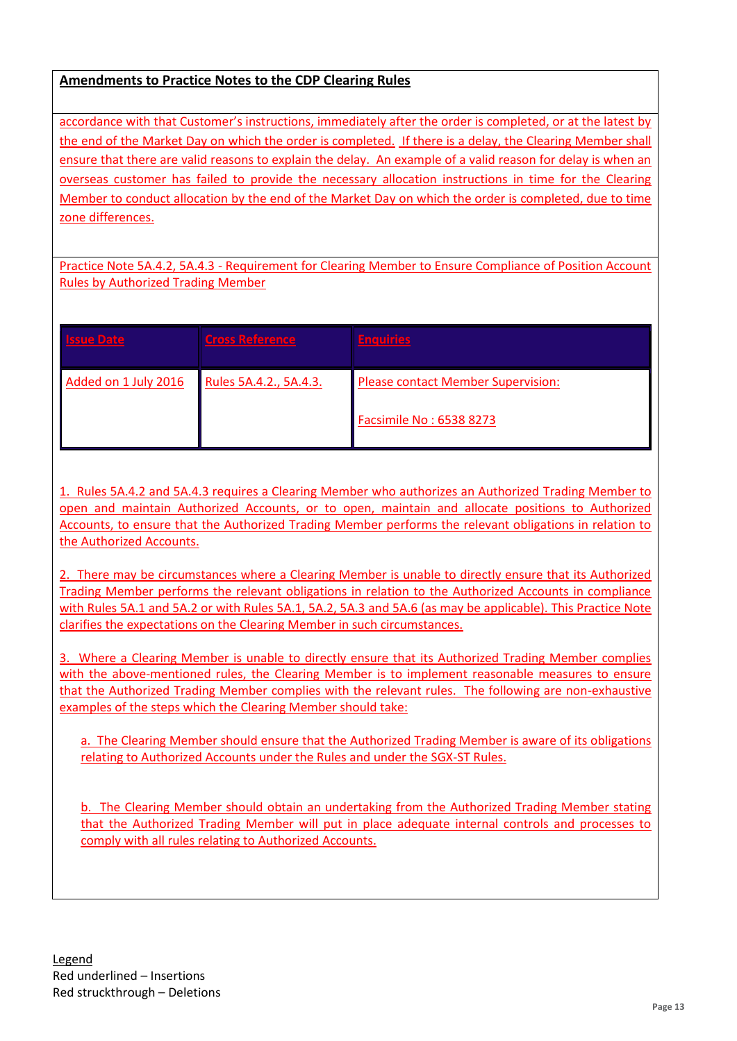accordance with that Customer's instructions, immediately after the order is completed, or at the latest by the end of the Market Day on which the order is completed. If there is a delay, the Clearing Member shall ensure that there are valid reasons to explain the delay. An example of a valid reason for delay is when an overseas customer has failed to provide the necessary allocation instructions in time for the Clearing Member to conduct allocation by the end of the Market Day on which the order is completed, due to time zone differences.

Practice Note 5A.4.2, 5A.4.3 - Requirement for Clearing Member to Ensure Compliance of Position Account Rules by Authorized Trading Member

| <b>Issue Date</b>    | Cross Reference        | <b>Enquiries</b>                          |
|----------------------|------------------------|-------------------------------------------|
| Added on 1 July 2016 | Rules 5A.4.2., 5A.4.3. | <b>Please contact Member Supervision:</b> |
|                      |                        | Facsimile No: 6538 8273                   |

1. Rules 5A.4.2 and 5A.4.3 requires a Clearing Member who authorizes an Authorized Trading Member to open and maintain Authorized Accounts, or to open, maintain and allocate positions to Authorized Accounts, to ensure that the Authorized Trading Member performs the relevant obligations in relation to the Authorized Accounts.

2. There may be circumstances where a Clearing Member is unable to directly ensure that its Authorized Trading Member performs the relevant obligations in relation to the Authorized Accounts in compliance with Rules 5A.1 and 5A.2 or with Rules 5A.1, 5A.2, 5A.3 and 5A.6 (as may be applicable). This Practice Note clarifies the expectations on the Clearing Member in such circumstances.

3. Where a Clearing Member is unable to directly ensure that its Authorized Trading Member complies with the above-mentioned rules, the Clearing Member is to implement reasonable measures to ensure that the Authorized Trading Member complies with the relevant rules. The following are non-exhaustive examples of the steps which the Clearing Member should take:

a. The Clearing Member should ensure that the Authorized Trading Member is aware of its obligations relating to Authorized Accounts under the Rules and under the SGX-ST Rules.

b. The Clearing Member should obtain an undertaking from the Authorized Trading Member stating that the Authorized Trading Member will put in place adequate internal controls and processes to comply with all rules relating to Authorized Accounts.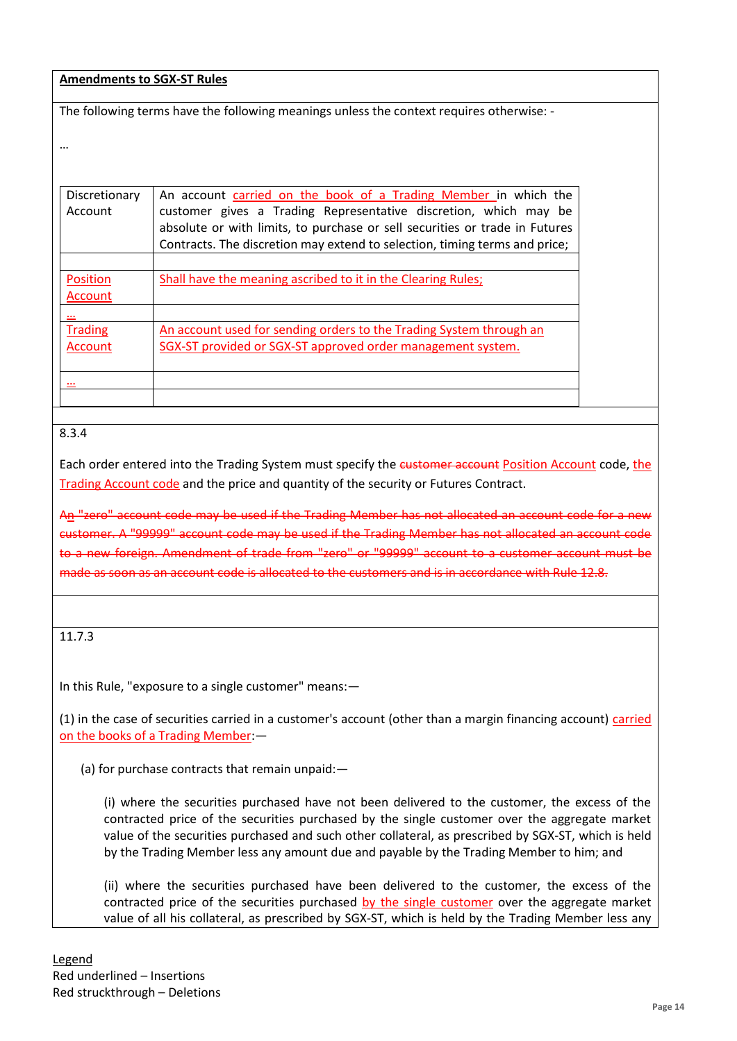The following terms have the following meanings unless the context requires otherwise: -

| Discretionary<br>Account  | An account carried on the book of a Trading Member in which the<br>customer gives a Trading Representative discretion, which may be<br>absolute or with limits, to purchase or sell securities or trade in Futures<br>Contracts. The discretion may extend to selection, timing terms and price; |
|---------------------------|--------------------------------------------------------------------------------------------------------------------------------------------------------------------------------------------------------------------------------------------------------------------------------------------------|
| Position<br>Account       | Shall have the meaning ascribed to it in the Clearing Rules;                                                                                                                                                                                                                                     |
| <b>Trading</b><br>Account | An account used for sending orders to the Trading System through an<br>SGX-ST provided or SGX-ST approved order management system.                                                                                                                                                               |
|                           |                                                                                                                                                                                                                                                                                                  |

8.3.4

…

Each order entered into the Trading System must specify the customer account Position Account code, the Trading Account code and the price and quantity of the security or Futures Contract.

An "zero" account code may be used if the Trading Member has not allocated an account code for a new customer. A "99999" account code may be used if the Trading Member has not allocated an account code to a new foreign. Amendment of trade from "zero" or "99999" account to a customer account must be made as soon as an account code is allocated to the customers and is in accordance with Rule 12.8.

11.7.3

In this Rule, "exposure to a single customer" means:—

(1) in the case of securities carried in a customer's account (other than a margin financing account) carried on the books of a Trading Member:—

(a) for purchase contracts that remain unpaid:—

(i) where the securities purchased have not been delivered to the customer, the excess of the contracted price of the securities purchased by the single customer over the aggregate market value of the securities purchased and such other collateral, as prescribed by SGX-ST, which is held by the Trading Member less any amount due and payable by the Trading Member to him; and

(ii) where the securities purchased have been delivered to the customer, the excess of the contracted price of the securities purchased by the single customer over the aggregate market value of all his collateral, as prescribed by SGX-ST, which is held by the Trading Member less any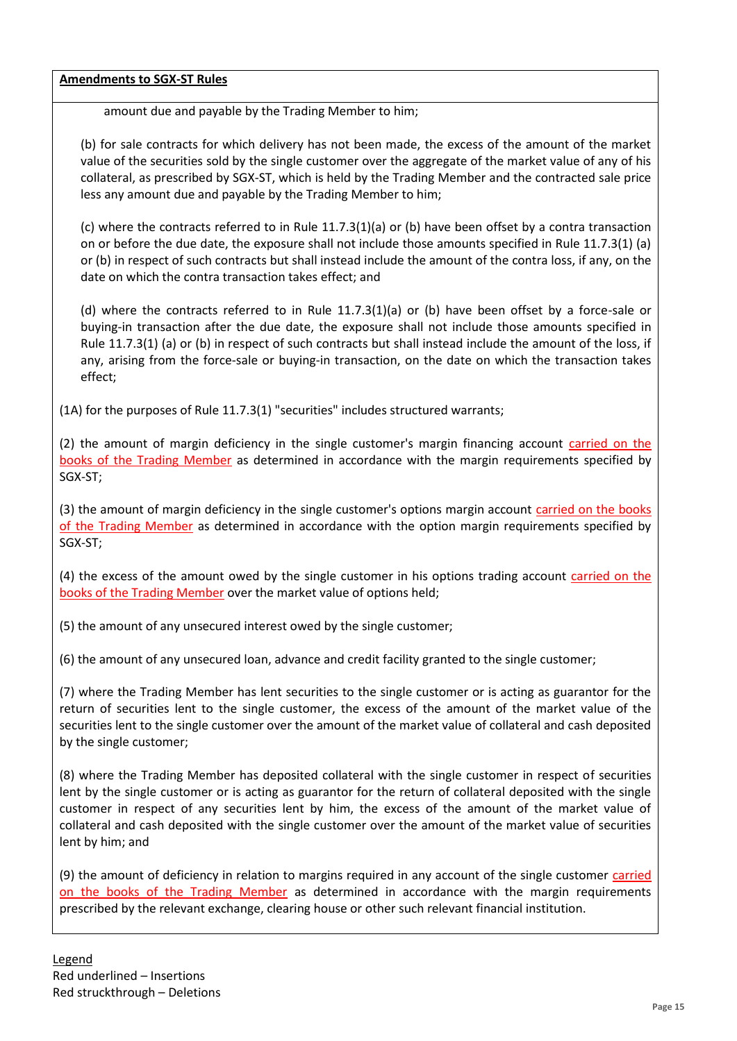amount due and payable by the Trading Member to him;

(b) for sale contracts for which delivery has not been made, the excess of the amount of the market value of the securities sold by the single customer over the aggregate of the market value of any of his collateral, as prescribed by SGX-ST, which is held by the Trading Member and the contracted sale price less any amount due and payable by the Trading Member to him;

(c) where the contracts referred to in Rule 11.7.3(1)(a) or (b) have been offset by a contra transaction on or before the due date, the exposure shall not include those amounts specified in Rule 11.7.3(1) (a) or (b) in respect of such contracts but shall instead include the amount of the contra loss, if any, on the date on which the contra transaction takes effect; and

(d) where the contracts referred to in Rule 11.7.3(1)(a) or (b) have been offset by a force-sale or buying-in transaction after the due date, the exposure shall not include those amounts specified in Rule 11.7.3(1) (a) or (b) in respect of such contracts but shall instead include the amount of the loss, if any, arising from the force-sale or buying-in transaction, on the date on which the transaction takes effect;

(1A) for the purposes of Rule 11.7.3(1) "securities" includes structured warrants;

(2) the amount of margin deficiency in the single customer's margin financing account carried on the books of the Trading Member as determined in accordance with the margin requirements specified by SGX-ST;

(3) the amount of margin deficiency in the single customer's options margin account carried on the books of the Trading Member as determined in accordance with the option margin requirements specified by SGX-ST;

(4) the excess of the amount owed by the single customer in his options trading account carried on the books of the Trading Member over the market value of options held;

(5) the amount of any unsecured interest owed by the single customer;

(6) the amount of any unsecured loan, advance and credit facility granted to the single customer;

(7) where the Trading Member has lent securities to the single customer or is acting as guarantor for the return of securities lent to the single customer, the excess of the amount of the market value of the securities lent to the single customer over the amount of the market value of collateral and cash deposited by the single customer;

(8) where the Trading Member has deposited collateral with the single customer in respect of securities lent by the single customer or is acting as guarantor for the return of collateral deposited with the single customer in respect of any securities lent by him, the excess of the amount of the market value of collateral and cash deposited with the single customer over the amount of the market value of securities lent by him; and

(9) the amount of deficiency in relation to margins required in any account of the single customer *carried* on the books of the Trading Member as determined in accordance with the margin requirements prescribed by the relevant exchange, clearing house or other such relevant financial institution.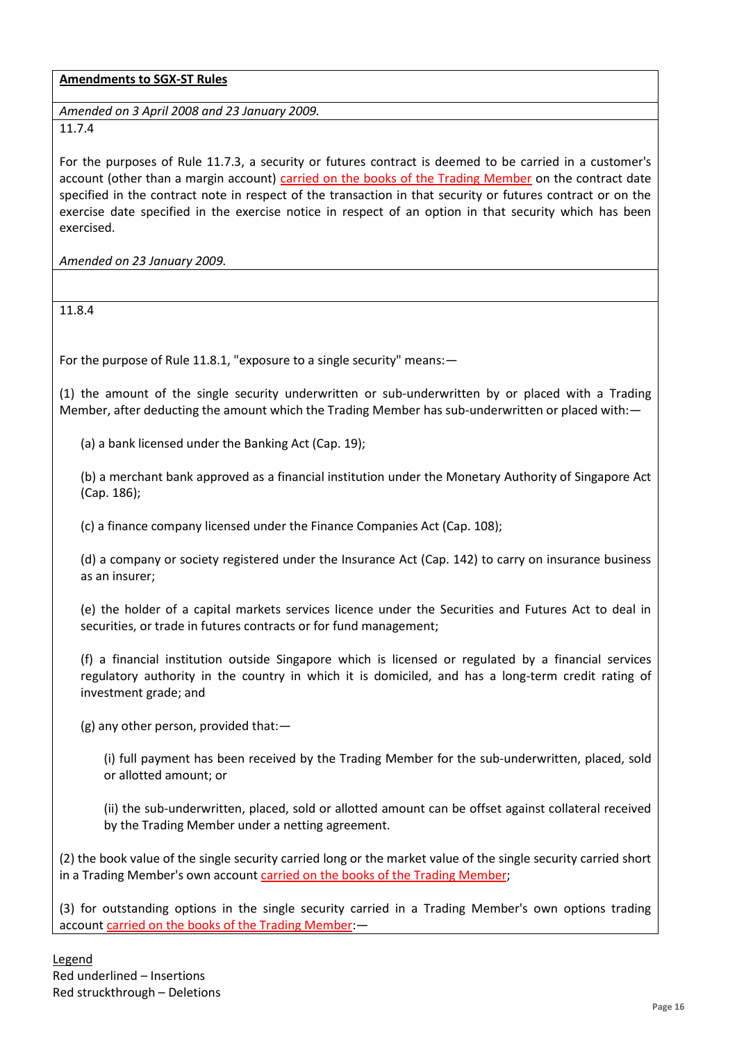*Amended on 3 April 2008 and 23 January 2009.* 11.7.4

For the purposes of Rule 11.7.3, a security or futures contract is deemed to be carried in a customer's account (other than a margin account) carried on the books of the Trading Member on the contract date specified in the contract note in respect of the transaction in that security or futures contract or on the exercise date specified in the exercise notice in respect of an option in that security which has been exercised.

*Amended on 23 January 2009.*

11.8.4

For the purpose of Rule 11.8.1, "exposure to a single security" means:—

(1) the amount of the single security underwritten or sub-underwritten by or placed with a Trading Member, after deducting the amount which the Trading Member has sub-underwritten or placed with:—

(a) a bank licensed under the Banking Act (Cap. 19);

(b) a merchant bank approved as a financial institution under the Monetary Authority of Singapore Act (Cap. 186);

(c) a finance company licensed under the Finance Companies Act (Cap. 108);

(d) a company or society registered under the Insurance Act (Cap. 142) to carry on insurance business as an insurer;

(e) the holder of a capital markets services licence under the Securities and Futures Act to deal in securities, or trade in futures contracts or for fund management;

(f) a financial institution outside Singapore which is licensed or regulated by a financial services regulatory authority in the country in which it is domiciled, and has a long-term credit rating of investment grade; and

(g) any other person, provided that:—

(i) full payment has been received by the Trading Member for the sub-underwritten, placed, sold or allotted amount; or

(ii) the sub-underwritten, placed, sold or allotted amount can be offset against collateral received by the Trading Member under a netting agreement.

(2) the book value of the single security carried long or the market value of the single security carried short in a Trading Member's own account carried on the books of the Trading Member;

(3) for outstanding options in the single security carried in a Trading Member's own options trading account carried on the books of the Trading Member: -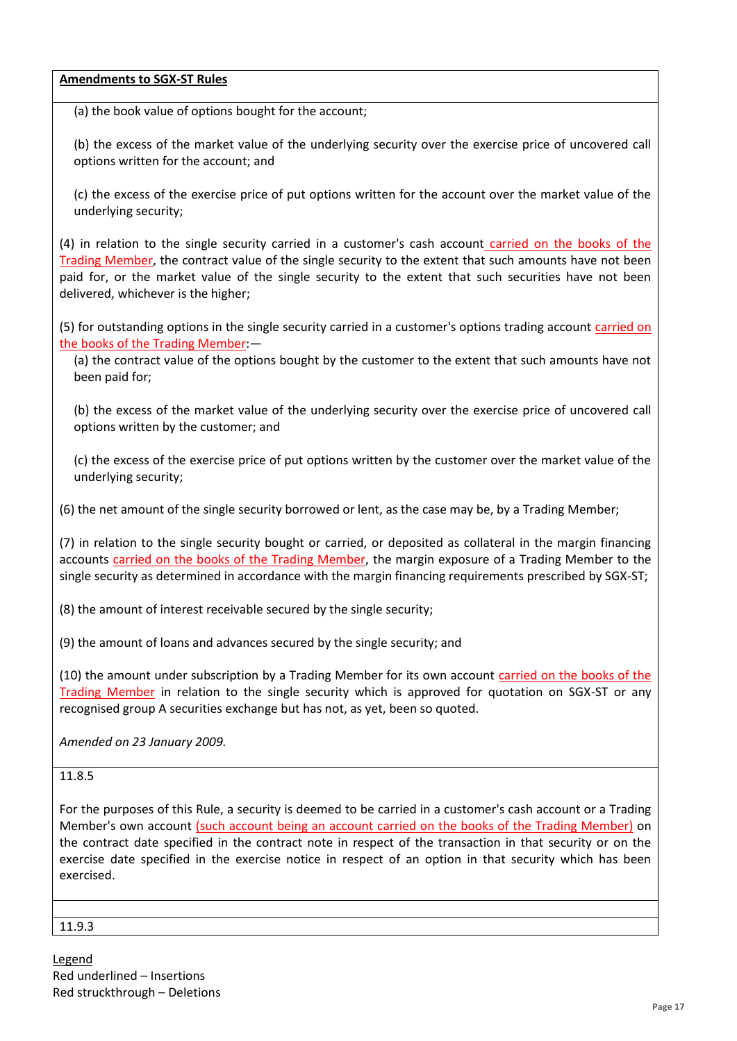(a) the book value of options bought for the account;

(b) the excess of the market value of the underlying security over the exercise price of uncovered call options written for the account; and

(c) the excess of the exercise price of put options written for the account over the market value of the underlying security;

(4) in relation to the single security carried in a customer's cash account carried on the books of the Trading Member, the contract value of the single security to the extent that such amounts have not been paid for, or the market value of the single security to the extent that such securities have not been delivered, whichever is the higher;

(5) for outstanding options in the single security carried in a customer's options trading account carried on the books of the Trading Member:—

(a) the contract value of the options bought by the customer to the extent that such amounts have not been paid for;

(b) the excess of the market value of the underlying security over the exercise price of uncovered call options written by the customer; and

(c) the excess of the exercise price of put options written by the customer over the market value of the underlying security;

(6) the net amount of the single security borrowed or lent, as the case may be, by a Trading Member;

(7) in relation to the single security bought or carried, or deposited as collateral in the margin financing accounts carried on the books of the Trading Member, the margin exposure of a Trading Member to the single security as determined in accordance with the margin financing requirements prescribed by SGX-ST;

(8) the amount of interest receivable secured by the single security;

(9) the amount of loans and advances secured by the single security; and

(10) the amount under subscription by a Trading Member for its own account carried on the books of the Trading Member in relation to the single security which is approved for quotation on SGX-ST or any recognised group A securities exchange but has not, as yet, been so quoted.

*Amended on 23 January 2009.* 

11.8.5

For the purposes of this Rule, a security is deemed to be carried in a customer's cash account or a Trading Member's own account (such account being an account carried on the books of the Trading Member) on the contract date specified in the contract note in respect of the transaction in that security or on the exercise date specified in the exercise notice in respect of an option in that security which has been exercised.

11.9.3

Legend Red underlined – Insertions Red struckthrough – Deletions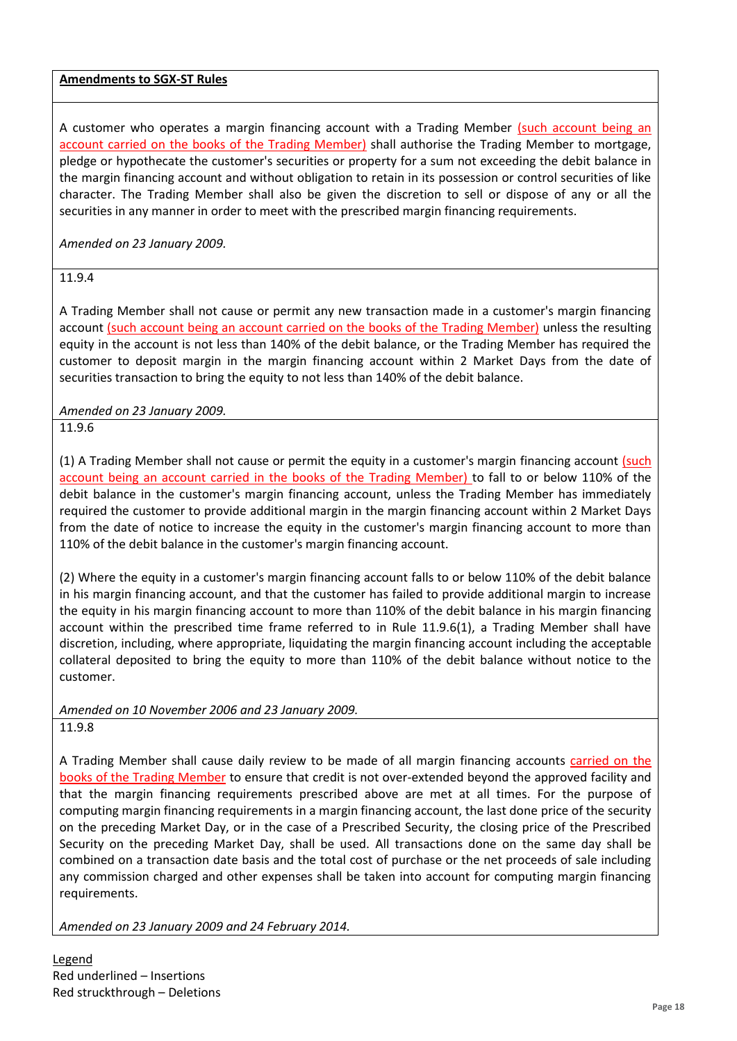A customer who operates a margin financing account with a Trading Member (such account being an account carried on the books of the Trading Member) shall authorise the Trading Member to mortgage, pledge or hypothecate the customer's securities or property for a sum not exceeding the debit balance in the margin financing account and without obligation to retain in its possession or control securities of like character. The Trading Member shall also be given the discretion to sell or dispose of any or all the securities in any manner in order to meet with the prescribed margin financing requirements.

*Amended on 23 January 2009.*

11.9.4

A Trading Member shall not cause or permit any new transaction made in a customer's margin financing account (such account being an account carried on the books of the Trading Member) unless the resulting equity in the account is not less than 140% of the debit balance, or the Trading Member has required the customer to deposit margin in the margin financing account within 2 Market Days from the date of securities transaction to bring the equity to not less than 140% of the debit balance.

*Amended on 23 January 2009.*

11.9.6

(1) A Trading Member shall not cause or permit the equity in a customer's margin financing account (such account being an account carried in the books of the Trading Member) to fall to or below 110% of the debit balance in the customer's margin financing account, unless the Trading Member has immediately required the customer to provide additional margin in the margin financing account within 2 Market Days from the date of notice to increase the equity in the customer's margin financing account to more than 110% of the debit balance in the customer's margin financing account.

(2) Where the equity in a customer's margin financing account falls to or below 110% of the debit balance in his margin financing account, and that the customer has failed to provide additional margin to increase the equity in his margin financing account to more than 110% of the debit balance in his margin financing account within the prescribed time frame referred to in Rule 11.9.6(1), a Trading Member shall have discretion, including, where appropriate, liquidating the margin financing account including the acceptable collateral deposited to bring the equity to more than 110% of the debit balance without notice to the customer.

## *Amended on 10 November 2006 and 23 January 2009.*

11.9.8

A Trading Member shall cause daily review to be made of all margin financing accounts carried on the books of the Trading Member to ensure that credit is not over-extended beyond the approved facility and that the margin financing requirements prescribed above are met at all times. For the purpose of computing margin financing requirements in a margin financing account, the last done price of the security on the preceding Market Day, or in the case of a Prescribed Security, the closing price of the Prescribed Security on the preceding Market Day, shall be used. All transactions done on the same day shall be combined on a transaction date basis and the total cost of purchase or the net proceeds of sale including any commission charged and other expenses shall be taken into account for computing margin financing requirements.

*Amended on 23 January 2009 and 24 February 2014.*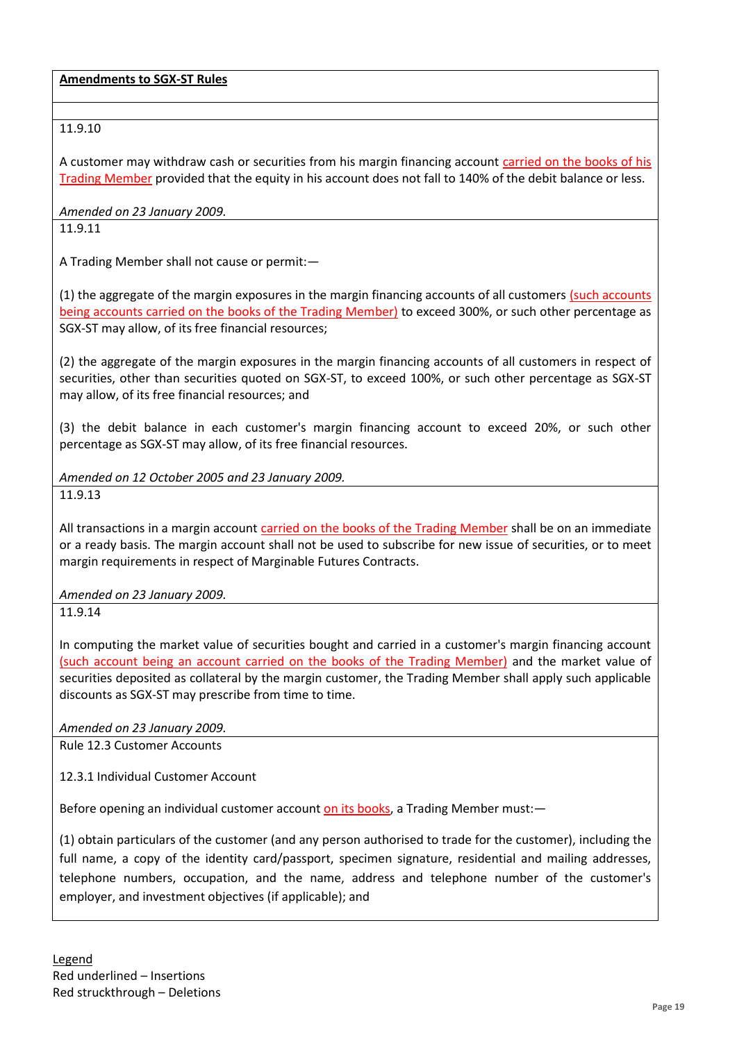# 11.9.10

A customer may withdraw cash or securities from his margin financing account carried on the books of his Trading Member provided that the equity in his account does not fall to 140% of the debit balance or less.

*Amended on 23 January 2009.*

11.9.11

A Trading Member shall not cause or permit:—

(1) the aggregate of the margin exposures in the margin financing accounts of all customers (such accounts being accounts carried on the books of the Trading Member) to exceed 300%, or such other percentage as SGX-ST may allow, of its free financial resources;

(2) the aggregate of the margin exposures in the margin financing accounts of all customers in respect of securities, other than securities quoted on SGX-ST, to exceed 100%, or such other percentage as SGX-ST may allow, of its free financial resources; and

(3) the debit balance in each customer's margin financing account to exceed 20%, or such other percentage as SGX-ST may allow, of its free financial resources.

*Amended on 12 October 2005 and 23 January 2009.*

11.9.13

All transactions in a margin account carried on the books of the Trading Member shall be on an immediate or a ready basis. The margin account shall not be used to subscribe for new issue of securities, or to meet margin requirements in respect of Marginable Futures Contracts.

*Amended on 23 January 2009.*

11.9.14

In computing the market value of securities bought and carried in a customer's margin financing account (such account being an account carried on the books of the Trading Member) and the market value of securities deposited as collateral by the margin customer, the Trading Member shall apply such applicable discounts as SGX-ST may prescribe from time to time.

*Amended on 23 January 2009.*

Rule 12.3 Customer Accounts

12.3.1 Individual Customer Account

Before opening an individual customer account on its books, a Trading Member must:—

(1) obtain particulars of the customer (and any person authorised to trade for the customer), including the full name, a copy of the identity card/passport, specimen signature, residential and mailing addresses, telephone numbers, occupation, and the name, address and telephone number of the customer's employer, and investment objectives (if applicable); and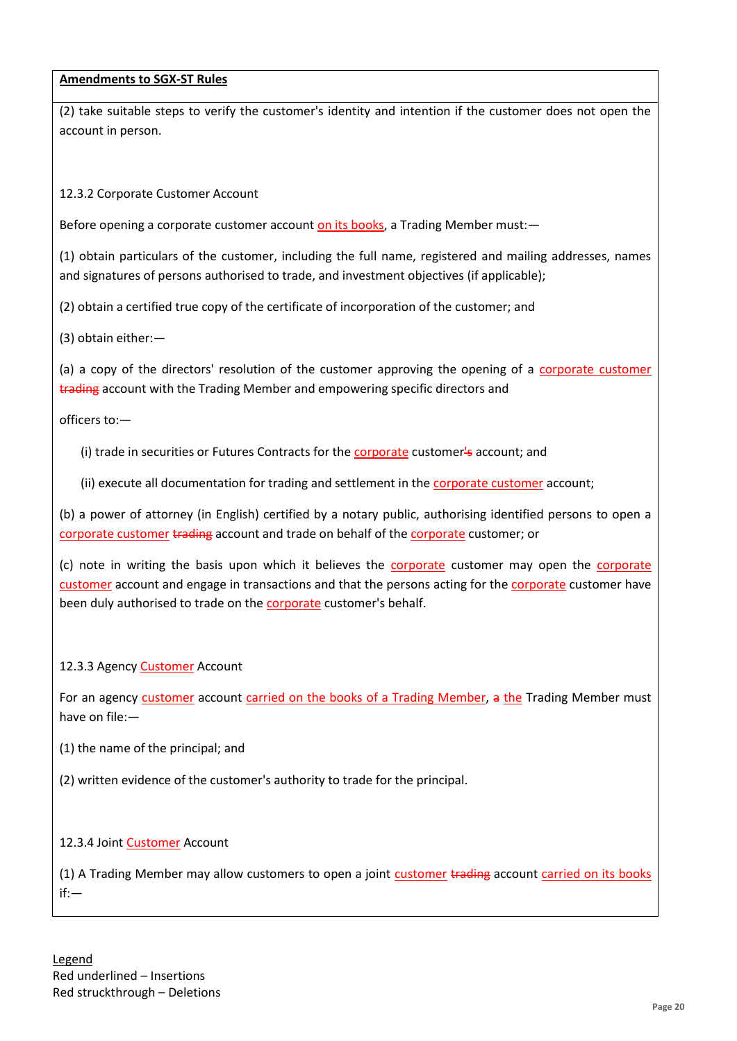(2) take suitable steps to verify the customer's identity and intention if the customer does not open the account in person.

12.3.2 Corporate Customer Account

Before opening a corporate customer account on its books, a Trading Member must:—

(1) obtain particulars of the customer, including the full name, registered and mailing addresses, names and signatures of persons authorised to trade, and investment objectives (if applicable);

(2) obtain a certified true copy of the certificate of incorporation of the customer; and

(3) obtain either:—

(a) a copy of the directors' resolution of the customer approving the opening of a corporate customer trading account with the Trading Member and empowering specific directors and

officers to:—

(i) trade in securities or Futures Contracts for the corporate customer's account; and

(ii) execute all documentation for trading and settlement in the **corporate customer** account;

(b) a power of attorney (in English) certified by a notary public, authorising identified persons to open a corporate customer trading account and trade on behalf of the corporate customer; or

(c) note in writing the basis upon which it believes the corporate customer may open the corporate customer account and engage in transactions and that the persons acting for the corporate customer have been duly authorised to trade on the corporate customer's behalf.

#### 12.3.3 Agency **Customer** Account

For an agency customer account carried on the books of a Trading Member, a the Trading Member must have on file:—

(1) the name of the principal; and

(2) written evidence of the customer's authority to trade for the principal.

#### 12.3.4 Joint Customer Account

(1) A Trading Member may allow customers to open a joint customer trading account carried on its books if:—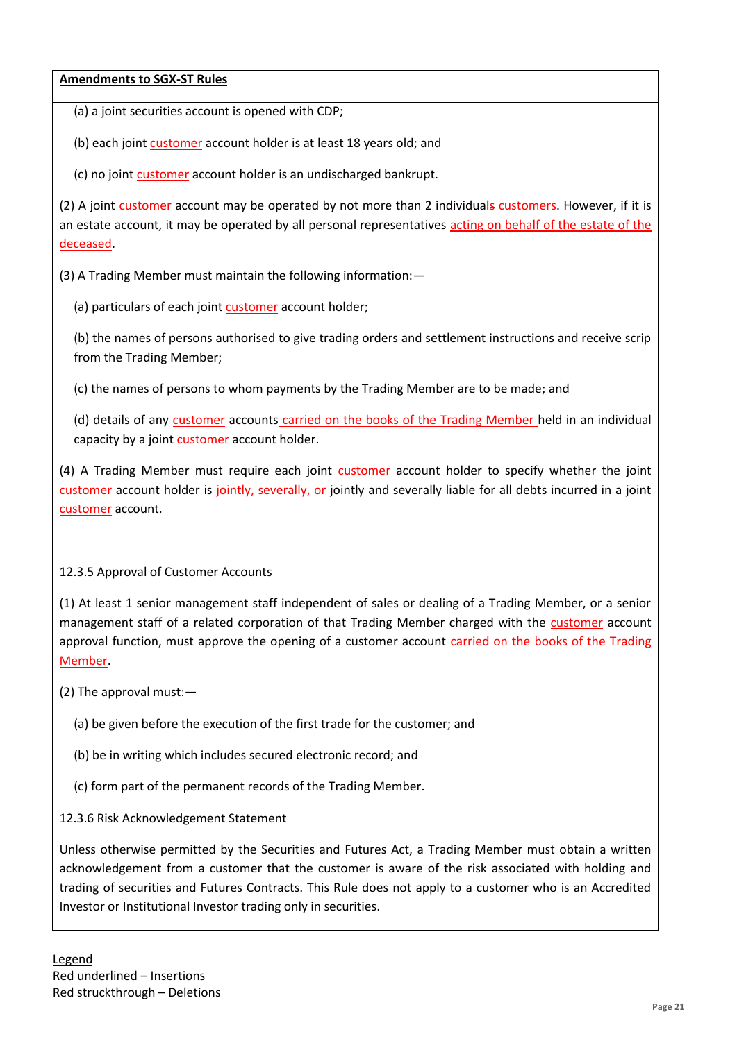(a) a joint securities account is opened with CDP;

(b) each joint customer account holder is at least 18 years old; and

(c) no joint customer account holder is an undischarged bankrupt.

(2) A joint customer account may be operated by not more than 2 individuals customers. However, if it is an estate account, it may be operated by all personal representatives acting on behalf of the estate of the deceased.

(3) A Trading Member must maintain the following information:—

(a) particulars of each joint customer account holder;

(b) the names of persons authorised to give trading orders and settlement instructions and receive scrip from the Trading Member;

(c) the names of persons to whom payments by the Trading Member are to be made; and

(d) details of any customer accounts carried on the books of the Trading Member held in an individual capacity by a joint customer account holder.

(4) A Trading Member must require each joint customer account holder to specify whether the joint customer account holder is jointly, severally, or jointly and severally liable for all debts incurred in a joint customer account.

## 12.3.5 Approval of Customer Accounts

(1) At least 1 senior management staff independent of sales or dealing of a Trading Member, or a senior management staff of a related corporation of that Trading Member charged with the customer account approval function, must approve the opening of a customer account carried on the books of the Trading Member.

(2) The approval must:—

- (a) be given before the execution of the first trade for the customer; and
- (b) be in writing which includes secured electronic record; and
- (c) form part of the permanent records of the Trading Member.
- 12.3.6 Risk Acknowledgement Statement

Unless otherwise permitted by the Securities and Futures Act, a Trading Member must obtain a written acknowledgement from a customer that the customer is aware of the risk associated with holding and trading of securities and Futures Contracts. This Rule does not apply to a customer who is an Accredited Investor or Institutional Investor trading only in securities.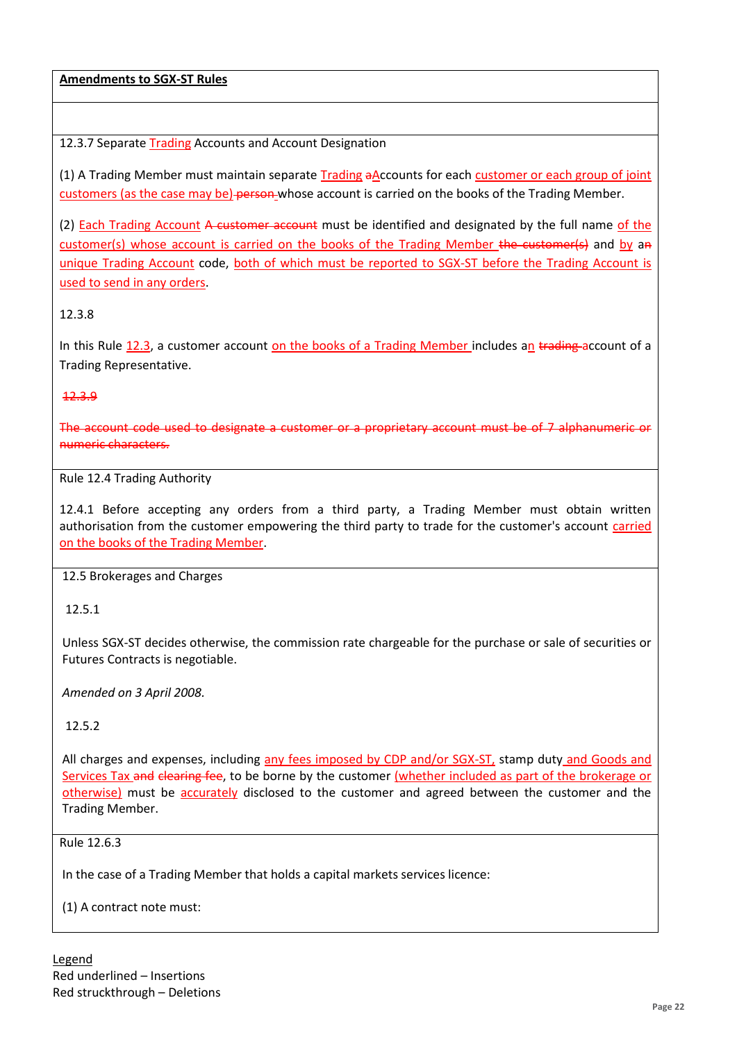12.3.7 Separate Trading Accounts and Account Designation

(1) A Trading Member must maintain separate Trading aAccounts for each customer or each group of joint customers (as the case may be)-person whose account is carried on the books of the Trading Member.

(2) Each Trading Account A customer account must be identified and designated by the full name of the customer(s) whose account is carried on the books of the Trading Member the customer(s) and by an unique Trading Account code, both of which must be reported to SGX-ST before the Trading Account is used to send in any orders.

12.3.8

In this Rule 12.3, a customer account on the books of a Trading Member includes an trading account of a Trading Representative.

#### 12.3.9

The account code used to designate a customer or a proprietary account must be of 7 alphanumeric or numeric characters.

# Rule 12.4 Trading Authority

12.4.1 Before accepting any orders from a third party, a Trading Member must obtain written authorisation from the customer empowering the third party to trade for the customer's account carried on the books of the Trading Member.

#### 12.5 Brokerages and Charges

12.5.1

Unless SGX-ST decides otherwise, the commission rate chargeable for the purchase or sale of securities or Futures Contracts is negotiable.

*Amended on 3 April 2008.*

## 12.5.2

All charges and expenses, including any fees imposed by CDP and/or SGX-ST, stamp duty and Goods and Services Tax and clearing fee, to be borne by the customer (whether included as part of the brokerage or otherwise) must be accurately disclosed to the customer and agreed between the customer and the Trading Member.

#### Rule 12.6.3

In the case of a Trading Member that holds a capital markets services licence:

(1) A contract note must:

Legend Red underlined – Insertions Red struckthrough – Deletions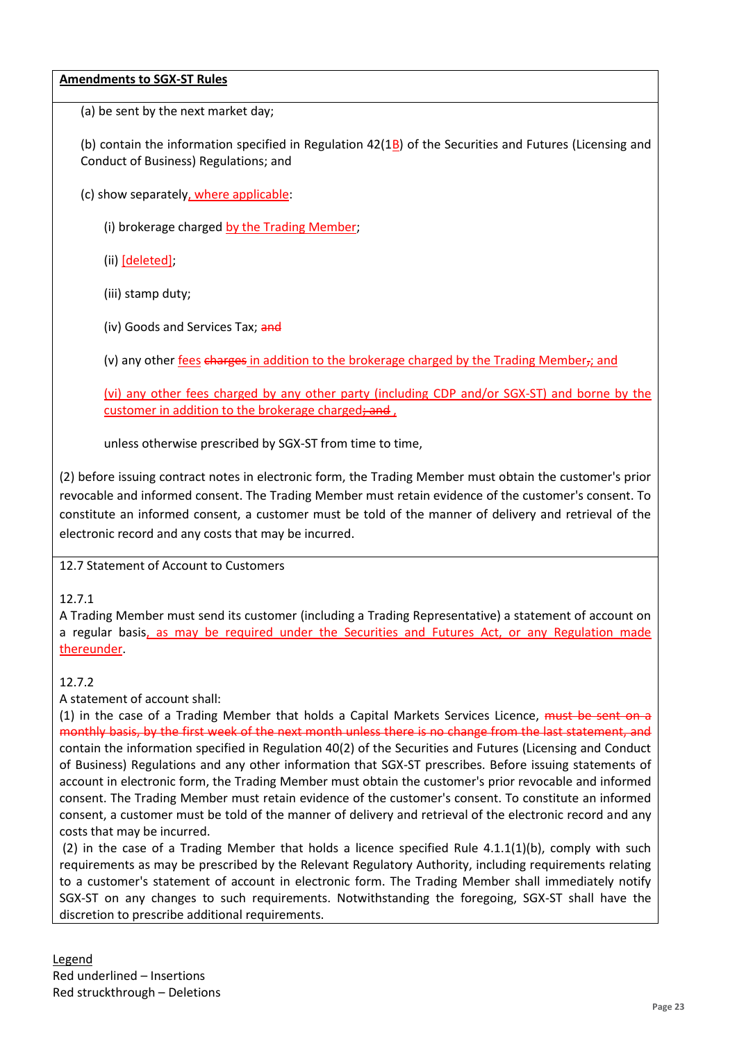(a) be sent by the next market day;

(b) contain the information specified in Regulation  $42(1B)$  of the Securities and Futures (Licensing and Conduct of Business) Regulations; and

(c) show separately, where applicable:

(i) brokerage charged by the Trading Member;

(ii) [deleted];

(iii) stamp duty;

(iv) Goods and Services Tax; and

(v) any other fees charges in addition to the brokerage charged by the Trading Member,; and

(vi) any other fees charged by any other party (including CDP and/or SGX-ST) and borne by the customer in addition to the brokerage charged; and,

unless otherwise prescribed by SGX-ST from time to time,

(2) before issuing contract notes in electronic form, the Trading Member must obtain the customer's prior revocable and informed consent. The Trading Member must retain evidence of the customer's consent. To constitute an informed consent, a customer must be told of the manner of delivery and retrieval of the electronic record and any costs that may be incurred.

12.7 Statement of Account to Customers

## 12.7.1

A Trading Member must send its customer (including a Trading Representative) a statement of account on a regular basis, as may be required under the Securities and Futures Act, or any Regulation made thereunder.

## 12.7.2

A statement of account shall:

(1) in the case of a Trading Member that holds a Capital Markets Services Licence, must be sent on a monthly basis, by the first week of the next month unless there is no change from the last statement, and contain the information specified in Regulation 40(2) of the Securities and Futures (Licensing and Conduct of Business) Regulations and any other information that SGX-ST prescribes. Before issuing statements of account in electronic form, the Trading Member must obtain the customer's prior revocable and informed consent. The Trading Member must retain evidence of the customer's consent. To constitute an informed consent, a customer must be told of the manner of delivery and retrieval of the electronic record and any costs that may be incurred.

(2) in the case of a Trading Member that holds a licence specified Rule 4.1.1(1)(b), comply with such requirements as may be prescribed by the Relevant Regulatory Authority, including requirements relating to a customer's statement of account in electronic form. The Trading Member shall immediately notify SGX-ST on any changes to such requirements. Notwithstanding the foregoing, SGX-ST shall have the discretion to prescribe additional requirements.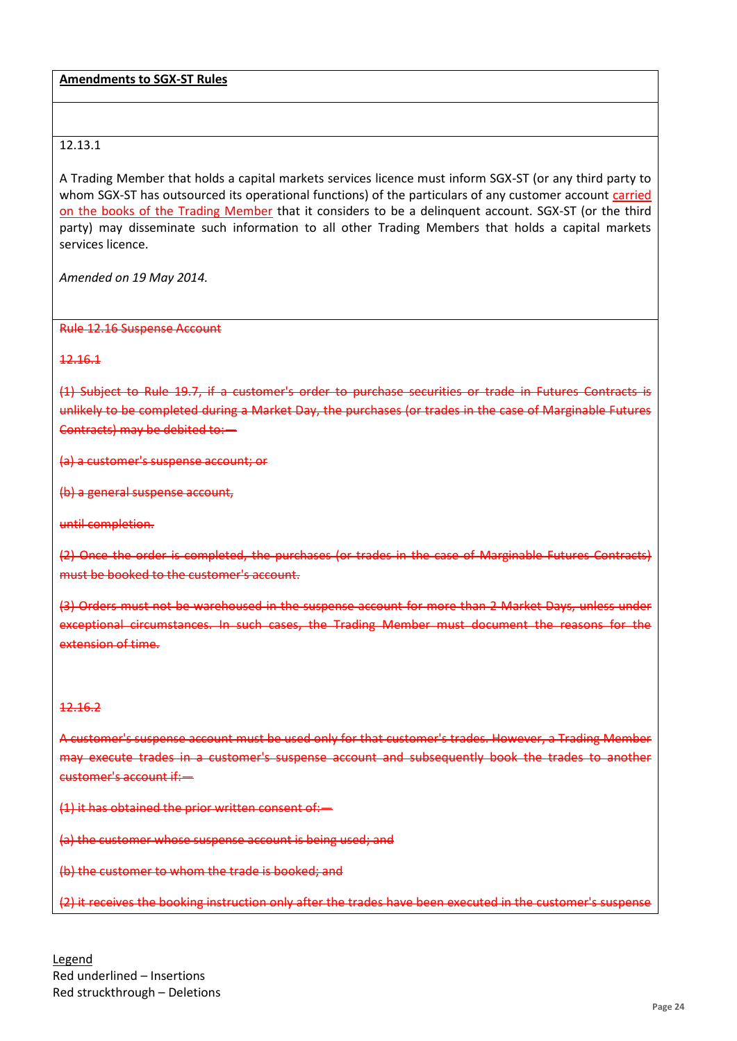## 12.13.1

A Trading Member that holds a capital markets services licence must inform SGX-ST (or any third party to whom SGX-ST has outsourced its operational functions) of the particulars of any customer account carried on the books of the Trading Member that it considers to be a delinquent account. SGX-ST (or the third party) may disseminate such information to all other Trading Members that holds a capital markets services licence.

*Amended on 19 May 2014.*

Rule 12.16 Suspense Account

12.16.1

(1) Subject to Rule 19.7, if a customer's order to purchase securities or trade in Futures Contracts is unlikely to be completed during a Market Day, the purchases (or trades in the case of Marginable Futures Contracts) may be debited to:—

(a) a customer's suspense account; or

(b) a general suspense account,

until completion.

(2) Once the order is completed, the purchases (or trades in the case of Marginable Futures Contracts) must be booked to the customer's account.

(3) Orders must not be warehoused in the suspense account for more than 2 Market Days, unless under exceptional circumstances. In such cases, the Trading Member must document the reasons for the extension of time.

#### 12.16.2

A customer's suspense account must be used only for that customer's trades. However, a Trading Member may execute trades in a customer's suspense account and subsequently book the trades to another customer's account if:—

(1) it has obtained the prior written consent of:—

(a) the customer whose suspense account is being used; and

(b) the customer to whom the trade is booked; and

(2) it receives the booking instruction only after the trades have been executed in the customer's suspense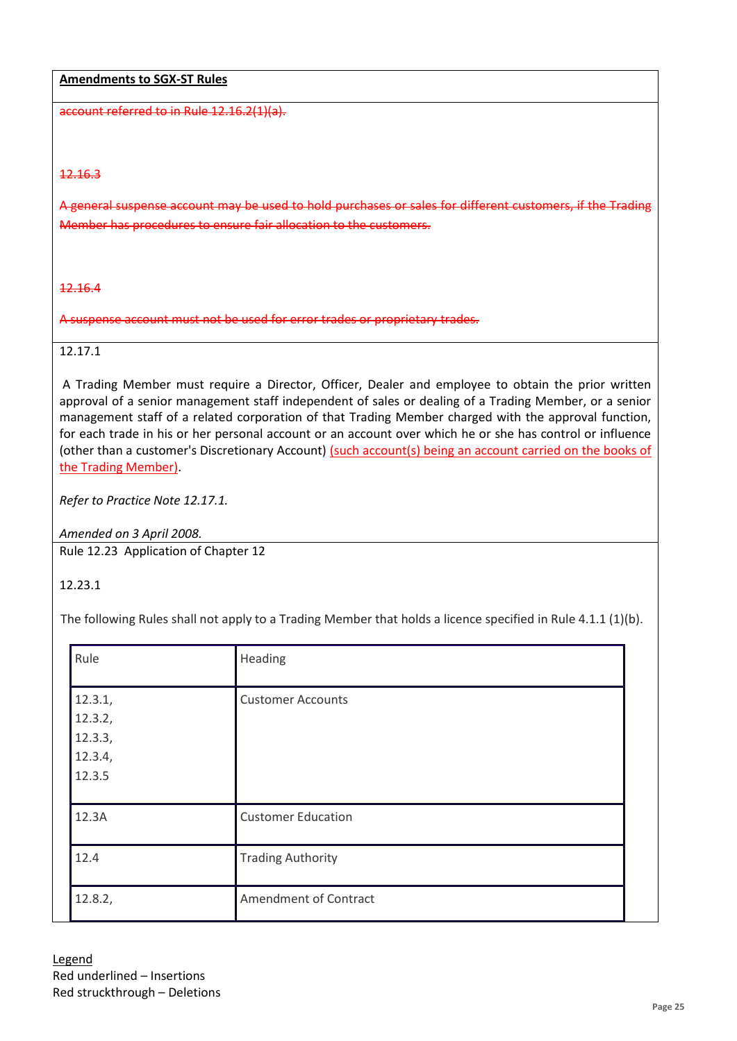account referred to in Rule 12.16.2(1)(a).

#### 12.16.3

A general suspense account may be used to hold purchases or sales for different customers, if the Trading Member has procedures to ensure fair allocation to the customers.

#### 12.16.4

A suspense account must not be used for error trades or proprietary trades.

# 12.17.1

A Trading Member must require a Director, Officer, Dealer and employee to obtain the prior written approval of a senior management staff independent of sales or dealing of a Trading Member, or a senior management staff of a related corporation of that Trading Member charged with the approval function, for each trade in his or her personal account or an account over which he or she has control or influence (other than a customer's Discretionary Account) (such account(s) being an account carried on the books of the Trading Member).

*Refer to Practice Note 12.17.1.* 

*Amended on 3 April 2008.*

Rule 12.23 Application of Chapter 12

## 12.23.1

The following Rules shall not apply to a Trading Member that holds a licence specified in Rule 4.1.1 (1)(b).

| Rule                                               | Heading                   |
|----------------------------------------------------|---------------------------|
| 12.3.1,<br>12.3.2,<br>12.3.3,<br>12.3.4,<br>12.3.5 | <b>Customer Accounts</b>  |
| 12.3A                                              | <b>Customer Education</b> |
| 12.4                                               | <b>Trading Authority</b>  |
| 12.8.2,                                            | Amendment of Contract     |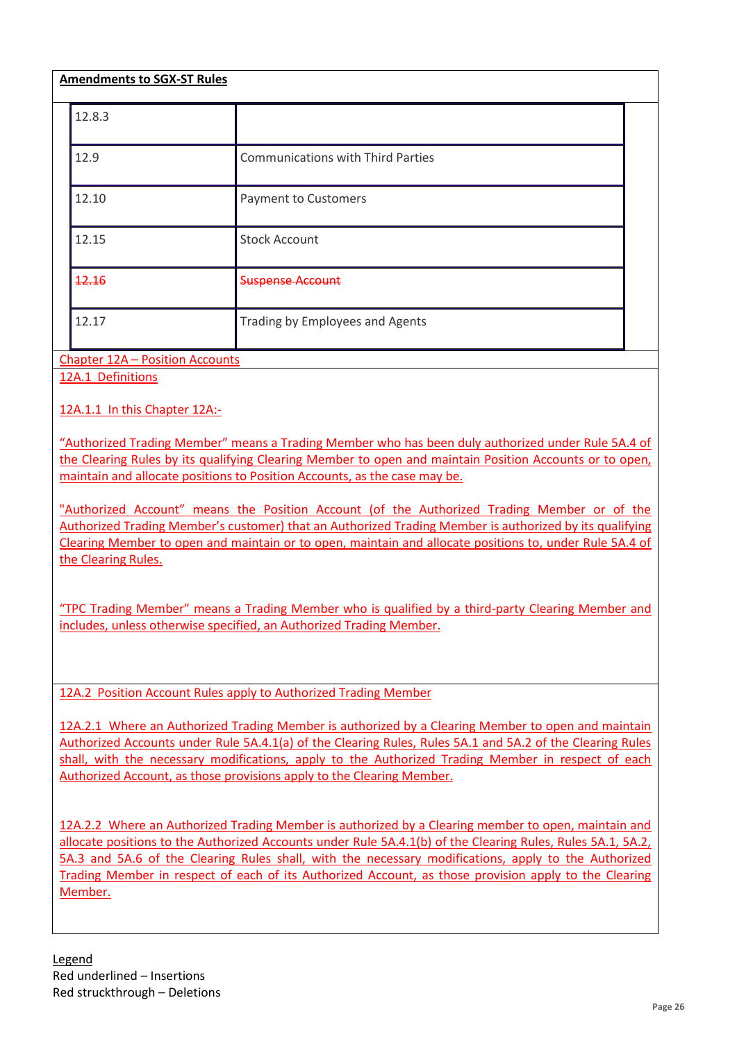| <b>Amendments to SGX-ST Rules</b> |                                          |  |  |
|-----------------------------------|------------------------------------------|--|--|
| 12.8.3                            |                                          |  |  |
| 12.9                              | <b>Communications with Third Parties</b> |  |  |
| 12.10                             | <b>Payment to Customers</b>              |  |  |
| 12.15                             | <b>Stock Account</b>                     |  |  |
| 12.16                             | <del>Suspense Account</del>              |  |  |
| 12.17                             | Trading by Employees and Agents          |  |  |

Chapter 12A – Position Accounts

12A.1 Definitions

12A.1.1 In this Chapter 12A:-

"Authorized Trading Member" means a Trading Member who has been duly authorized under Rule 5A.4 of the Clearing Rules by its qualifying Clearing Member to open and maintain Position Accounts or to open, maintain and allocate positions to Position Accounts, as the case may be.

"Authorized Account" means the Position Account (of the Authorized Trading Member or of the Authorized Trading Member's customer) that an Authorized Trading Member is authorized by its qualifying Clearing Member to open and maintain or to open, maintain and allocate positions to, under Rule 5A.4 of the Clearing Rules.

"TPC Trading Member" means a Trading Member who is qualified by a third-party Clearing Member and includes, unless otherwise specified, an Authorized Trading Member.

12A.2 Position Account Rules apply to Authorized Trading Member

12A.2.1 Where an Authorized Trading Member is authorized by a Clearing Member to open and maintain Authorized Accounts under Rule 5A.4.1(a) of the Clearing Rules, Rules 5A.1 and 5A.2 of the Clearing Rules shall, with the necessary modifications, apply to the Authorized Trading Member in respect of each Authorized Account, as those provisions apply to the Clearing Member.

12A.2.2 Where an Authorized Trading Member is authorized by a Clearing member to open, maintain and allocate positions to the Authorized Accounts under Rule 5A.4.1(b) of the Clearing Rules, Rules 5A.1, 5A.2, 5A.3 and 5A.6 of the Clearing Rules shall, with the necessary modifications, apply to the Authorized Trading Member in respect of each of its Authorized Account, as those provision apply to the Clearing Member.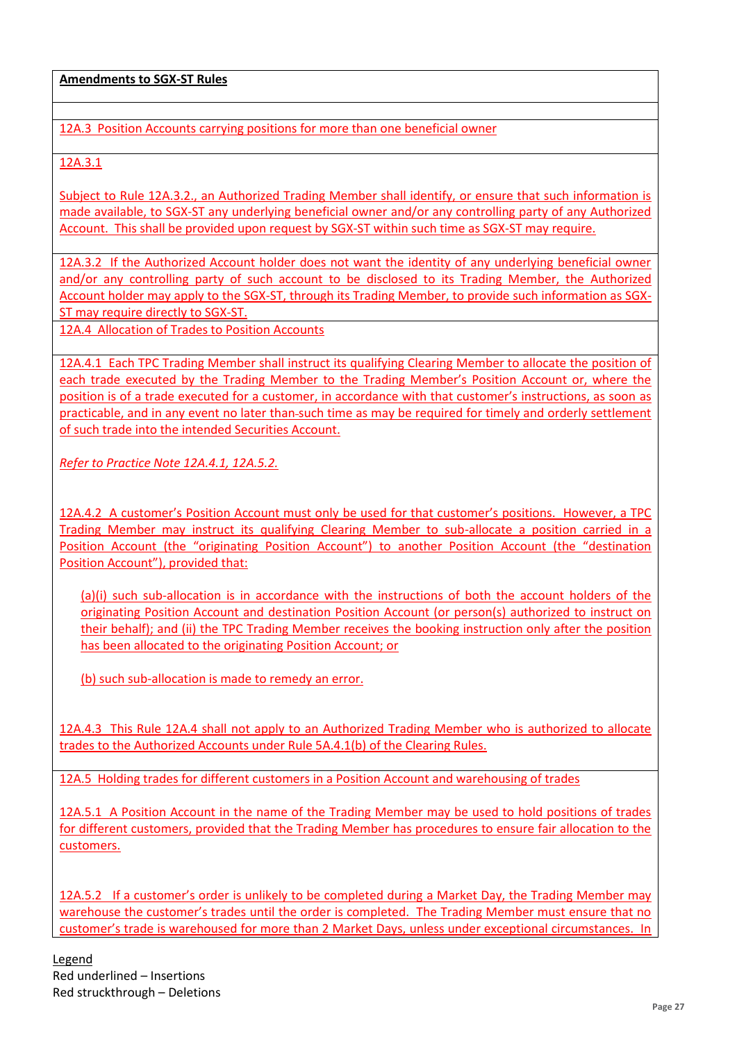12A.3 Position Accounts carrying positions for more than one beneficial owner

12A.3.1

Subject to Rule 12A.3.2., an Authorized Trading Member shall identify, or ensure that such information is made available, to SGX-ST any underlying beneficial owner and/or any controlling party of any Authorized Account. This shall be provided upon request by SGX-ST within such time as SGX-ST may require.

12A.3.2 If the Authorized Account holder does not want the identity of any underlying beneficial owner and/or any controlling party of such account to be disclosed to its Trading Member, the Authorized Account holder may apply to the SGX-ST, through its Trading Member, to provide such information as SGX-ST may require directly to SGX-ST.

12A.4 Allocation of Trades to Position Accounts

12A.4.1 Each TPC Trading Member shall instruct its qualifying Clearing Member to allocate the position of each trade executed by the Trading Member to the Trading Member's Position Account or, where the position is of a trade executed for a customer, in accordance with that customer's instructions, as soon as practicable, and in any event no later than such time as may be required for timely and orderly settlement of such trade into the intended Securities Account.

*Refer to Practice Note 12A.4.1, 12A.5.2.*

12A.4.2 A customer's Position Account must only be used for that customer's positions. However, a TPC Trading Member may instruct its qualifying Clearing Member to sub-allocate a position carried in a Position Account (the "originating Position Account") to another Position Account (the "destination Position Account"), provided that:

(a)(i) such sub-allocation is in accordance with the instructions of both the account holders of the originating Position Account and destination Position Account (or person(s) authorized to instruct on their behalf); and (ii) the TPC Trading Member receives the booking instruction only after the position has been allocated to the originating Position Account; or

(b) such sub-allocation is made to remedy an error.

12A.4.3 This Rule 12A.4 shall not apply to an Authorized Trading Member who is authorized to allocate trades to the Authorized Accounts under Rule 5A.4.1(b) of the Clearing Rules.

12A.5 Holding trades for different customers in a Position Account and warehousing of trades

12A.5.1 A Position Account in the name of the Trading Member may be used to hold positions of trades for different customers, provided that the Trading Member has procedures to ensure fair allocation to the customers.

12A.5.2 If a customer's order is unlikely to be completed during a Market Day, the Trading Member may warehouse the customer's trades until the order is completed. The Trading Member must ensure that no customer's trade is warehoused for more than 2 Market Days, unless under exceptional circumstances. In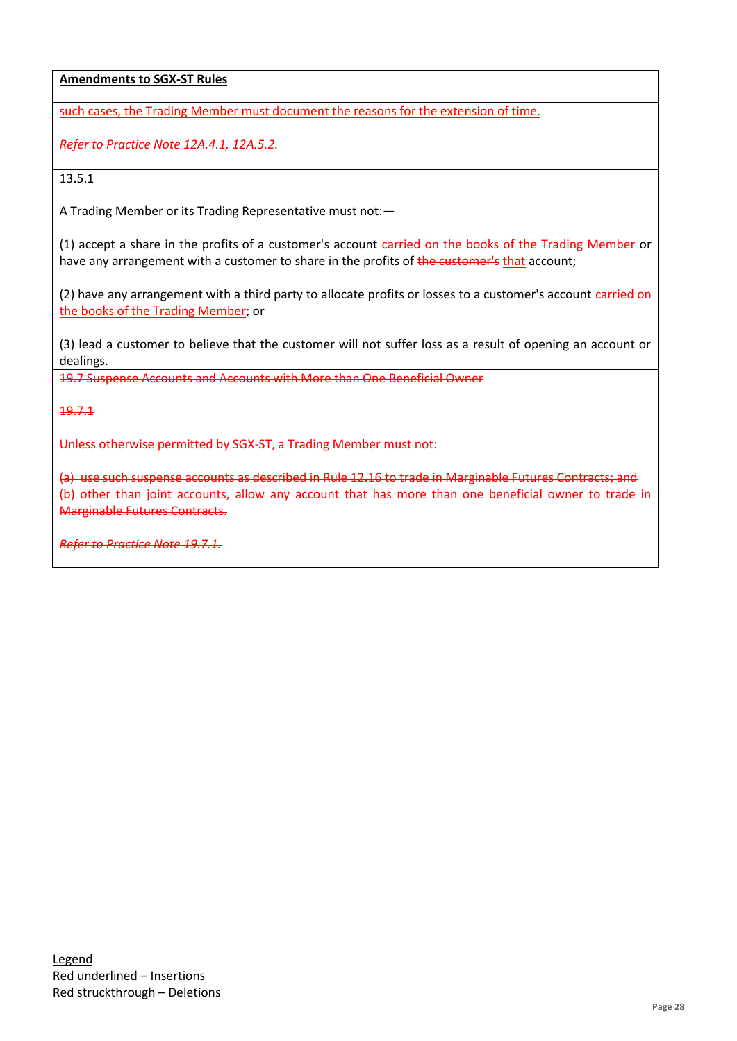such cases, the Trading Member must document the reasons for the extension of time.

*Refer to Practice Note 12A.4.1, 12A.5.2.*

13.5.1

A Trading Member or its Trading Representative must not:—

(1) accept a share in the profits of a customer's account carried on the books of the Trading Member or have any arrangement with a customer to share in the profits of the customer's that account;

(2) have any arrangement with a third party to allocate profits or losses to a customer's account carried on the books of the Trading Member; or

(3) lead a customer to believe that the customer will not suffer loss as a result of opening an account or dealings.

19.7 Suspense Accounts and Accounts with More than One Beneficial Owner

19.7.1

Unless otherwise permitted by SGX-ST, a Trading Member must not:

(a) use such suspense accounts as described in Rule 12.16 to trade in Marginable Futures Contracts; and (b) other than joint accounts, allow any account that has more than one beneficial owner to trade in Marginable Futures Contracts.

*Refer to Practice Note 19.7.1.*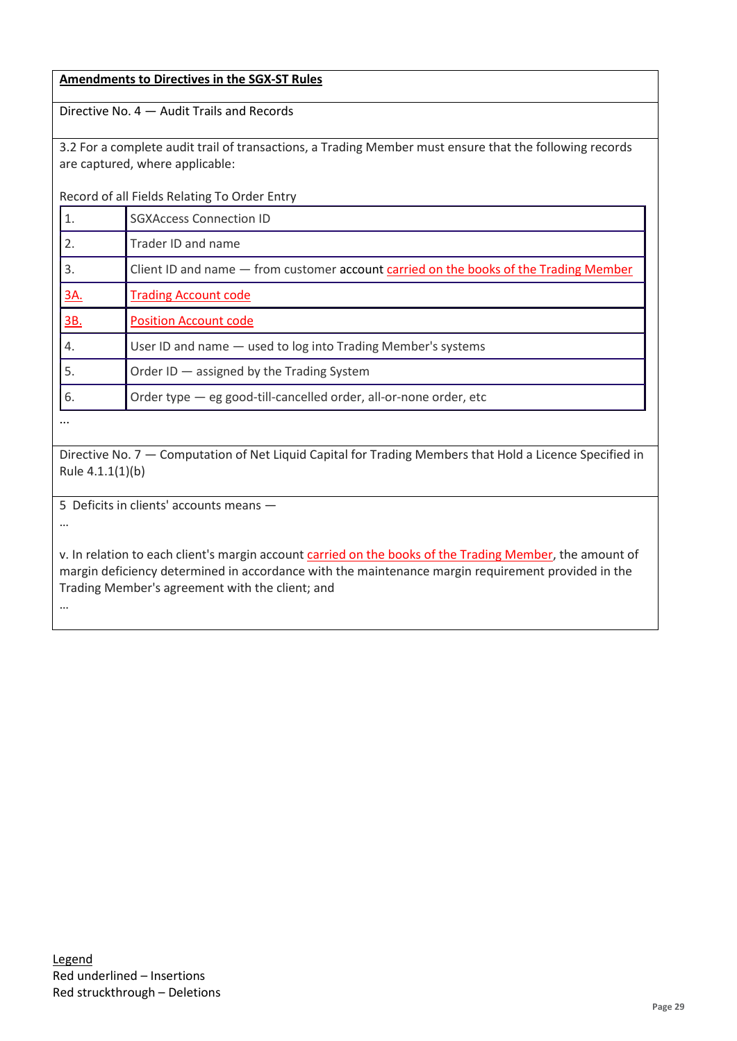|                                                                                                                                                                                                                                                                               | <b>Amendments to Directives in the SGX-ST Rules</b>                                                                                        |  |  |
|-------------------------------------------------------------------------------------------------------------------------------------------------------------------------------------------------------------------------------------------------------------------------------|--------------------------------------------------------------------------------------------------------------------------------------------|--|--|
| Directive No. 4 - Audit Trails and Records                                                                                                                                                                                                                                    |                                                                                                                                            |  |  |
|                                                                                                                                                                                                                                                                               | 3.2 For a complete audit trail of transactions, a Trading Member must ensure that the following records<br>are captured, where applicable: |  |  |
|                                                                                                                                                                                                                                                                               | Record of all Fields Relating To Order Entry                                                                                               |  |  |
| 1.                                                                                                                                                                                                                                                                            | <b>SGXAccess Connection ID</b>                                                                                                             |  |  |
| 2.                                                                                                                                                                                                                                                                            | Trader ID and name                                                                                                                         |  |  |
| 3.                                                                                                                                                                                                                                                                            | Client ID and name - from customer account carried on the books of the Trading Member                                                      |  |  |
| <u>3A.</u>                                                                                                                                                                                                                                                                    | <b>Trading Account code</b>                                                                                                                |  |  |
| <u>3B.</u>                                                                                                                                                                                                                                                                    | <b>Position Account code</b>                                                                                                               |  |  |
| 4.                                                                                                                                                                                                                                                                            | User ID and name - used to log into Trading Member's systems                                                                               |  |  |
| 5.                                                                                                                                                                                                                                                                            | Order ID - assigned by the Trading System                                                                                                  |  |  |
| 6.                                                                                                                                                                                                                                                                            | Order type - eg good-till-cancelled order, all-or-none order, etc                                                                          |  |  |
|                                                                                                                                                                                                                                                                               |                                                                                                                                            |  |  |
| Directive No. 7 - Computation of Net Liquid Capital for Trading Members that Hold a Licence Specified in<br>Rule 4.1.1(1)(b)                                                                                                                                                  |                                                                                                                                            |  |  |
| 5 Deficits in clients' accounts means -                                                                                                                                                                                                                                       |                                                                                                                                            |  |  |
|                                                                                                                                                                                                                                                                               |                                                                                                                                            |  |  |
| v. In relation to each client's margin account carried on the books of the Trading Member, the amount of<br>margin deficiency determined in accordance with the maintenance margin requirement provided in the<br>Trading Member's agreement with the client; and<br>$\cdots$ |                                                                                                                                            |  |  |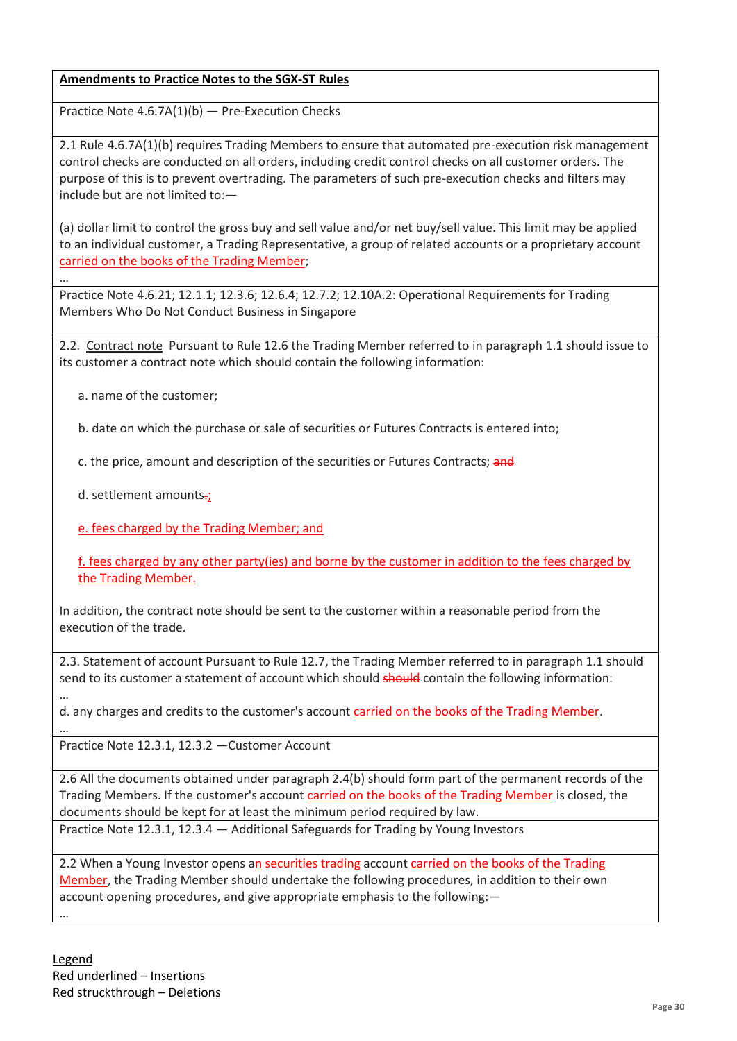# **Amendments to Practice Notes to the SGX-ST Rules**

Practice Note 4.6.7A(1)(b) — Pre-Execution Checks

2.1 Rule 4.6.7A(1)(b) requires Trading Members to ensure that automated pre-execution risk management control checks are conducted on all orders, including credit control checks on all customer orders. The purpose of this is to prevent overtrading. The parameters of such pre-execution checks and filters may include but are not limited to:—

(a) dollar limit to control the gross buy and sell value and/or net buy/sell value. This limit may be applied to an individual customer, a Trading Representative, a group of related accounts or a proprietary account carried on the books of the Trading Member;

Practice Note 4.6.21; 12.1.1; 12.3.6; 12.6.4; 12.7.2; 12.10A.2: Operational Requirements for Trading Members Who Do Not Conduct Business in Singapore

2.2. Contract note Pursuant to Rule 12.6 the Trading Member referred to in paragraph 1.1 should issue to its customer a contract note which should contain the following information:

a. name of the customer;

…

…

b. date on which the purchase or sale of securities or Futures Contracts is entered into;

c. the price, amount and description of the securities or Futures Contracts; and

d. settlement amounts.;

e. fees charged by the Trading Member; and

f. fees charged by any other party(ies) and borne by the customer in addition to the fees charged by the Trading Member.

In addition, the contract note should be sent to the customer within a reasonable period from the execution of the trade.

2.3. Statement of account Pursuant to Rule 12.7, the Trading Member referred to in paragraph 1.1 should send to its customer a statement of account which should should contain the following information:

… d. any charges and credits to the customer's account carried on the books of the Trading Member.

Practice Note 12.3.1, 12.3.2 —Customer Account

2.6 All the documents obtained under paragraph 2.4(b) should form part of the permanent records of the Trading Members. If the customer's account carried on the books of the Trading Member is closed, the documents should be kept for at least the minimum period required by law.

Practice Note 12.3.1, 12.3.4 — Additional Safeguards for Trading by Young Investors

2.2 When a Young Investor opens an securities trading account carried on the books of the Trading Member, the Trading Member should undertake the following procedures, in addition to their own account opening procedures, and give appropriate emphasis to the following:— …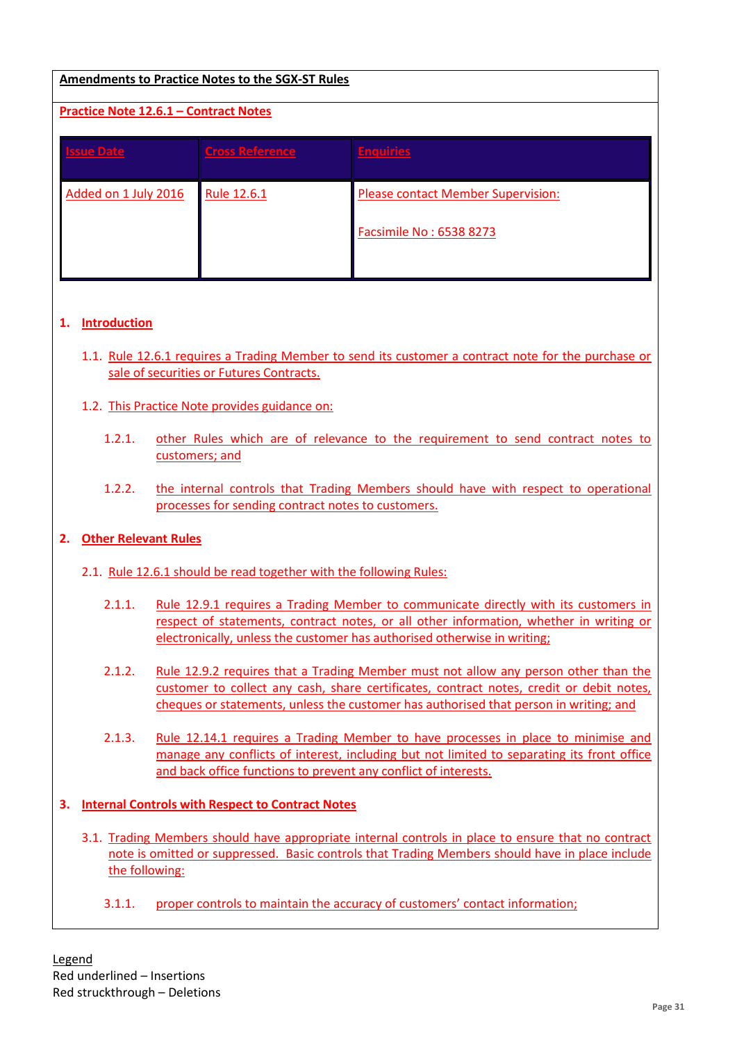# **Amendments to Practice Notes to the SGX-ST Rules**

# **Practice Note 12.6.1 – Contract Notes**

| ssue Date.           | <b>Cross Reference</b> | <b>Enquiries</b>                          |
|----------------------|------------------------|-------------------------------------------|
| Added on 1 July 2016 | Rule 12.6.1            | <b>Please contact Member Supervision:</b> |
|                      |                        | Facsimile No: 6538 8273                   |

## **1. Introduction**

- 1.1. Rule 12.6.1 requires a Trading Member to send its customer a contract note for the purchase or sale of securities or Futures Contracts.
- 1.2. This Practice Note provides guidance on:
	- 1.2.1. other Rules which are of relevance to the requirement to send contract notes to customers; and
	- 1.2.2. the internal controls that Trading Members should have with respect to operational processes for sending contract notes to customers.

## **2. Other Relevant Rules**

#### 2.1. Rule 12.6.1 should be read together with the following Rules:

- 2.1.1. Rule 12.9.1 requires a Trading Member to communicate directly with its customers in respect of statements, contract notes, or all other information, whether in writing or electronically, unless the customer has authorised otherwise in writing;
- 2.1.2. Rule 12.9.2 requires that a Trading Member must not allow any person other than the customer to collect any cash, share certificates, contract notes, credit or debit notes, cheques or statements, unless the customer has authorised that person in writing; and
- 2.1.3. Rule 12.14.1 requires a Trading Member to have processes in place to minimise and manage any conflicts of interest, including but not limited to separating its front office and back office functions to prevent any conflict of interests.

## **3. Internal Controls with Respect to Contract Notes**

- 3.1. Trading Members should have appropriate internal controls in place to ensure that no contract note is omitted or suppressed. Basic controls that Trading Members should have in place include the following:
	- 3.1.1. proper controls to maintain the accuracy of customers' contact information;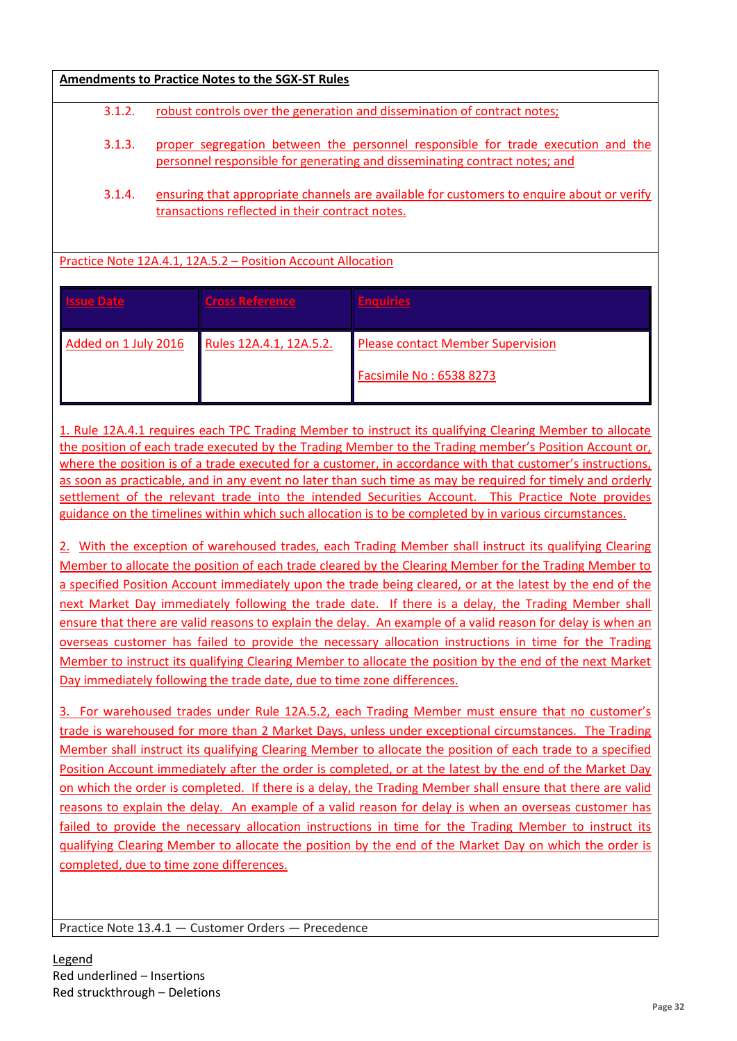| <b>Amendments to Practice Notes to the SGX-ST Rules</b>      |                                                                                                                                                                |                         |                                          |
|--------------------------------------------------------------|----------------------------------------------------------------------------------------------------------------------------------------------------------------|-------------------------|------------------------------------------|
| 3.1.2.                                                       | robust controls over the generation and dissemination of contract notes;                                                                                       |                         |                                          |
| 3.1.3.                                                       | proper segregation between the personnel responsible for trade execution and the<br>personnel responsible for generating and disseminating contract notes; and |                         |                                          |
| 3.1.4.                                                       | ensuring that appropriate channels are available for customers to enquire about or verify<br>transactions reflected in their contract notes.                   |                         |                                          |
| Practice Note 12A.4.1, 12A.5.2 - Position Account Allocation |                                                                                                                                                                |                         |                                          |
| <b>Issue Date</b>                                            |                                                                                                                                                                | <b>Cross Reference</b>  | <b>Enquiries</b>                         |
| Added on 1 July 2016                                         |                                                                                                                                                                | Rules 12A.4.1, 12A.5.2. | <b>Please contact Member Supervision</b> |
|                                                              |                                                                                                                                                                |                         | Facsimile No: 6538 8273                  |

1. Rule 12A.4.1 requires each TPC Trading Member to instruct its qualifying Clearing Member to allocate the position of each trade executed by the Trading Member to the Trading member's Position Account or, where the position is of a trade executed for a customer, in accordance with that customer's instructions, as soon as practicable, and in any event no later than such time as may be required for timely and orderly settlement of the relevant trade into the intended Securities Account. This Practice Note provides guidance on the timelines within which such allocation is to be completed by in various circumstances.

2. With the exception of warehoused trades, each Trading Member shall instruct its qualifying Clearing Member to allocate the position of each trade cleared by the Clearing Member for the Trading Member to a specified Position Account immediately upon the trade being cleared, or at the latest by the end of the next Market Day immediately following the trade date. If there is a delay, the Trading Member shall ensure that there are valid reasons to explain the delay. An example of a valid reason for delay is when an overseas customer has failed to provide the necessary allocation instructions in time for the Trading Member to instruct its qualifying Clearing Member to allocate the position by the end of the next Market Day immediately following the trade date, due to time zone differences.

3. For warehoused trades under Rule 12A.5.2, each Trading Member must ensure that no customer's trade is warehoused for more than 2 Market Days, unless under exceptional circumstances. The Trading Member shall instruct its qualifying Clearing Member to allocate the position of each trade to a specified Position Account immediately after the order is completed, or at the latest by the end of the Market Day on which the order is completed. If there is a delay, the Trading Member shall ensure that there are valid reasons to explain the delay. An example of a valid reason for delay is when an overseas customer has failed to provide the necessary allocation instructions in time for the Trading Member to instruct its qualifying Clearing Member to allocate the position by the end of the Market Day on which the order is completed, due to time zone differences.

Practice Note 13.4.1 — Customer Orders — Precedence